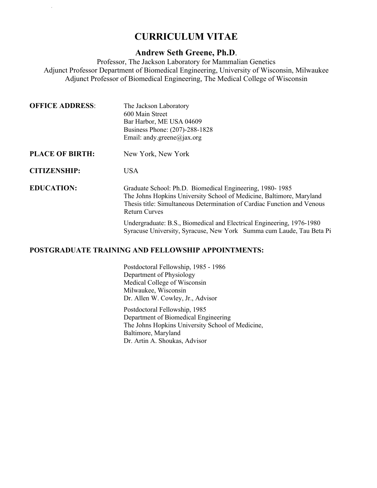# **CURRICULUM VITAE**

Greene, Andrew 1/13/2021

## **Andrew Seth Greene, Ph.D**.

Professor, The Jackson Laboratory for Mammalian Genetics Adjunct Professor Department of Biomedical Engineering, University of Wisconsin, Milwaukee Adjunct Professor of Biomedical Engineering, The Medical College of Wisconsin

| <b>OFFICE ADDRESS:</b> | The Jackson Laboratory<br>600 Main Street<br>Bar Harbor, ME USA 04609<br>Business Phone: (207)-288-1828<br>Email: andy.greene@jax.org                                                                                               |
|------------------------|-------------------------------------------------------------------------------------------------------------------------------------------------------------------------------------------------------------------------------------|
| <b>PLACE OF BIRTH:</b> | New York, New York                                                                                                                                                                                                                  |
| <b>CITIZENSHIP:</b>    | <b>USA</b>                                                                                                                                                                                                                          |
| <b>EDUCATION:</b>      | Graduate School: Ph.D. Biomedical Engineering, 1980-1985<br>The Johns Hopkins University School of Medicine, Baltimore, Maryland<br>Thesis title: Simultaneous Determination of Cardiac Function and Venous<br><b>Return Curves</b> |
|                        |                                                                                                                                                                                                                                     |

Undergraduate: B.S., Biomedical and Electrical Engineering, 1976-1980 Syracuse University, Syracuse, New York Summa cum Laude, Tau Beta Pi

## **POSTGRADUATE TRAINING AND FELLOWSHIP APPOINTMENTS:**

Postdoctoral Fellowship, 1985 - 1986 Department of Physiology Medical College of Wisconsin Milwaukee, Wisconsin Dr. Allen W. Cowley, Jr., Advisor

Postdoctoral Fellowship, 1985 Department of Biomedical Engineering The Johns Hopkins University School of Medicine, Baltimore, Maryland Dr. Artin A. Shoukas, Advisor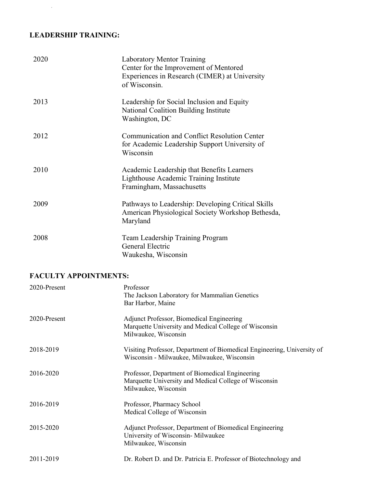## **LEADERSHIP TRAINING:**

Greene, Andrew 1/13/2021

| 2020 | <b>Laboratory Mentor Training</b><br>Center for the Improvement of Mentored<br>Experiences in Research (CIMER) at University<br>of Wisconsin. |
|------|-----------------------------------------------------------------------------------------------------------------------------------------------|
| 2013 | Leadership for Social Inclusion and Equity<br>National Coalition Building Institute<br>Washington, DC                                         |
| 2012 | Communication and Conflict Resolution Center<br>for Academic Leadership Support University of<br>Wisconsin                                    |
| 2010 | Academic Leadership that Benefits Learners<br>Lighthouse Academic Training Institute<br>Framingham, Massachusetts                             |
| 2009 | Pathways to Leadership: Developing Critical Skills<br>American Physiological Society Workshop Bethesda,<br>Maryland                           |
| 2008 | Team Leadership Training Program<br>General Electric<br>Waukesha, Wisconsin                                                                   |

## **FACULTY APPOINTMENTS:**

| 2020-Present | Professor<br>The Jackson Laboratory for Mammalian Genetics<br>Bar Harbor, Maine                                                  |
|--------------|----------------------------------------------------------------------------------------------------------------------------------|
| 2020-Present | Adjunct Professor, Biomedical Engineering<br>Marquette University and Medical College of Wisconsin<br>Milwaukee, Wisconsin       |
| 2018-2019    | Visiting Professor, Department of Biomedical Engineering, University of<br>Wisconsin - Milwaukee, Milwaukee, Wisconsin           |
| 2016-2020    | Professor, Department of Biomedical Engineering<br>Marquette University and Medical College of Wisconsin<br>Milwaukee, Wisconsin |
| 2016-2019    | Professor, Pharmacy School<br>Medical College of Wisconsin                                                                       |
| 2015-2020    | Adjunct Professor, Department of Biomedical Engineering<br>University of Wisconsin-Milwaukee<br>Milwaukee, Wisconsin             |
| 2011-2019    | Dr. Robert D. and Dr. Patricia E. Professor of Biotechnology and                                                                 |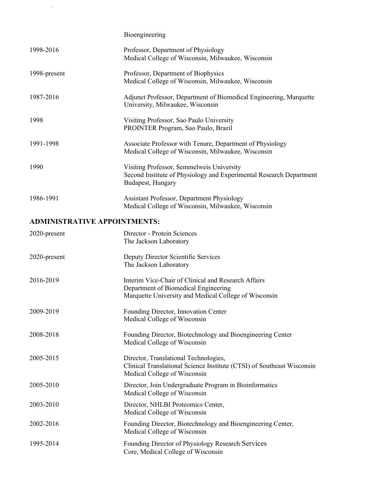|                                     | Bioengineering                                                                                                                                       |
|-------------------------------------|------------------------------------------------------------------------------------------------------------------------------------------------------|
| 1998-2016                           | Professor, Department of Physiology<br>Medical College of Wisconsin, Milwaukee, Wisconsin                                                            |
| 1998-present                        | Professor, Department of Biophysics<br>Medical College of Wisconsin, Milwaukee, Wisconsin                                                            |
| 1987-2016                           | Adjunct Professor, Department of Biomedical Engineering, Marquette<br>University, Milwaukee, Wisconsin                                               |
| 1998                                | Visiting Professor, Sao Paulo University<br>PROINTER Program, Sao Paulo, Brazil                                                                      |
| 1991-1998                           | Associate Professor with Tenure, Department of Physiology<br>Medical College of Wisconsin, Milwaukee, Wisconsin                                      |
| 1990                                | Visiting Professor, Semmelweis University<br>Second Institute of Physiology and Experimental Research Department<br>Budapest, Hungary                |
| 1986-1991                           | Assistant Professor, Department Physiology<br>Medical College of Wisconsin, Milwaukee, Wisconsin                                                     |
| <b>ADMINISTRATIVE APPOINTMENTS:</b> |                                                                                                                                                      |
| 2020-present                        | Director - Protein Sciences<br>The Jackson Laboratory                                                                                                |
| 2020-present                        | Deputy Director Scientific Services<br>The Jackson Laboratory                                                                                        |
| 2016-2019                           | Interim Vice-Chair of Clinical and Research Affairs<br>Department of Biomedical Engineering<br>Marquette University and Medical College of Wisconsin |
| 2009-2019                           | Founding Director, Innovation Center<br>Medical College of Wisconsin                                                                                 |
| 2008-2018                           | Founding Director, Biotechnology and Bioengineering Center<br>Medical College of Wisconsin                                                           |
| 2005-2015                           | Director, Translational Technologies,<br>Clinical Translational Science Institute (CTSI) of Southeast Wisconsin<br>Medical College of Wisconsin      |
| 2005-2010                           | Director, Join Undergraduate Program in Bioinformatics<br>Medical College of Wisconsin                                                               |
| 2003-2010                           | Director, NHLBI Proteomics Center,<br>Medical College of Wisconsin                                                                                   |
| 2002-2016                           | Founding Director, Biotechnology and Bioengineering Center,<br>Medical College of Wisconsin                                                          |
| 1995-2014                           | Founding Director of Physiology Research Services                                                                                                    |

Core, Medical College of Wisconsin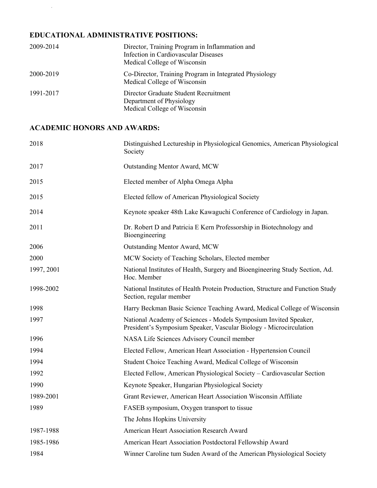## **EDUCATIONAL ADMINISTRATIVE POSITIONS:**

| 2009-2014 | Director, Training Program in Inflammation and<br>Infection in Cardiovascular Diseases<br>Medical College of Wisconsin |
|-----------|------------------------------------------------------------------------------------------------------------------------|
| 2000-2019 | Co-Director, Training Program in Integrated Physiology<br>Medical College of Wisconsin                                 |
| 1991-2017 | Director Graduate Student Recruitment<br>Department of Physiology<br>Medical College of Wisconsin                      |

## **ACADEMIC HONORS AND AWARDS:**

| 2018       | Distinguished Lectureship in Physiological Genomics, American Physiological<br>Society                                                 |
|------------|----------------------------------------------------------------------------------------------------------------------------------------|
| 2017       | Outstanding Mentor Award, MCW                                                                                                          |
| 2015       | Elected member of Alpha Omega Alpha                                                                                                    |
| 2015       | Elected fellow of American Physiological Society                                                                                       |
| 2014       | Keynote speaker 48th Lake Kawaguchi Conference of Cardiology in Japan.                                                                 |
| 2011       | Dr. Robert D and Patricia E Kern Professorship in Biotechnology and<br>Bioengineering                                                  |
| 2006       | Outstanding Mentor Award, MCW                                                                                                          |
| 2000       | MCW Society of Teaching Scholars, Elected member                                                                                       |
| 1997, 2001 | National Institutes of Health, Surgery and Bioengineering Study Section, Ad.<br>Hoc. Member                                            |
| 1998-2002  | National Institutes of Health Protein Production, Structure and Function Study<br>Section, regular member                              |
| 1998       | Harry Beckman Basic Science Teaching Award, Medical College of Wisconsin                                                               |
| 1997       | National Academy of Sciences - Models Symposium Invited Speaker,<br>President's Symposium Speaker, Vascular Biology - Microcirculation |
| 1996       | NASA Life Sciences Advisory Council member                                                                                             |
| 1994       | Elected Fellow, American Heart Association - Hypertension Council                                                                      |
| 1994       | Student Choice Teaching Award, Medical College of Wisconsin                                                                            |
| 1992       | Elected Fellow, American Physiological Society - Cardiovascular Section                                                                |
| 1990       | Keynote Speaker, Hungarian Physiological Society                                                                                       |
| 1989-2001  | Grant Reviewer, American Heart Association Wisconsin Affiliate                                                                         |
| 1989       | FASEB symposium, Oxygen transport to tissue                                                                                            |
|            | The Johns Hopkins University                                                                                                           |
| 1987-1988  | American Heart Association Research Award                                                                                              |
| 1985-1986  | American Heart Association Postdoctoral Fellowship Award                                                                               |
| 1984       | Winner Caroline tum Suden Award of the American Physiological Society                                                                  |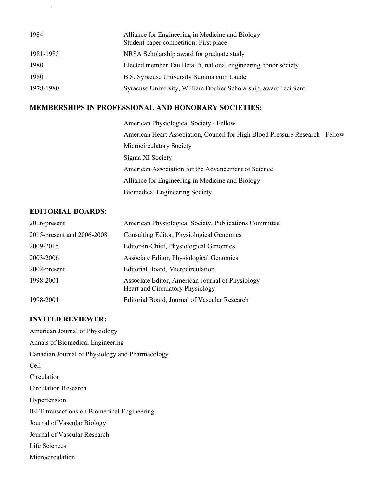| 1984      | Alliance for Engineering in Medicine and Biology<br>Student paper competition: First place |
|-----------|--------------------------------------------------------------------------------------------|
| 1981-1985 | NRSA Scholarship award for graduate study                                                  |
| 1980      | Elected member Tau Beta Pi, national engineering honor society                             |
| 1980      | B.S. Syracuse University Summa cum Laude                                                   |
| 1978-1980 | Syracuse University, William Boulier Scholarship, award recipient                          |

#### **MEMBERSHIPS IN PROFESSIONAL AND HONORARY SOCIETIES:**

American Physiological Society - Fellow American Heart Association, Council for High Blood Pressure Research - Fellow Microcirculatory Society Sigma XI Society American Association for the Advancement of Science Alliance for Engineering in Medicine and Biology Biomedical Engineering Society

#### **EDITORIAL BOARDS**:

Greene, Andrew 1/13/2021

| $2016$ -present            | American Physiological Society, Publications Committee                               |
|----------------------------|--------------------------------------------------------------------------------------|
| 2015-present and 2006-2008 | Consulting Editor, Physiological Genomics                                            |
| 2009-2015                  | Editor-in-Chief, Physiological Genomics                                              |
| 2003-2006                  | Associate Editor, Physiological Genomics                                             |
| $2002$ -present            | Editorial Board, Microcirculation                                                    |
| 1998-2001                  | Associate Editor, American Journal of Physiology<br>Heart and Circulatory Physiology |
| 1998-2001                  | Editorial Board, Journal of Vascular Research                                        |

#### **INVITED REVIEWER:**

American Journal of Physiology Annals of Biomedical Engineering Canadian Journal of Physiology and Pharmacology Cell Circulation Circulation Research Hypertension IEEE transactions on Biomedical Engineering Journal of Vascular Biology Journal of Vascular Research Life Sciences Microcirculation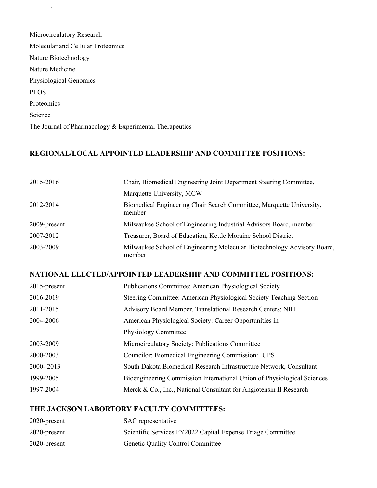| Microcirculatory Research                               |
|---------------------------------------------------------|
| Molecular and Cellular Proteomics                       |
| Nature Biotechnology                                    |
| Nature Medicine                                         |
| Physiological Genomics                                  |
| <b>PLOS</b>                                             |
| Proteomics                                              |
| Science                                                 |
| The Journal of Pharmacology & Experimental Therapeutics |
|                                                         |

Greene, Andrew 1/13/2021

## **REGIONAL/LOCAL APPOINTED LEADERSHIP AND COMMITTEE POSITIONS:**

| 2015-2016    | Chair, Biomedical Engineering Joint Department Steering Committee,                |
|--------------|-----------------------------------------------------------------------------------|
|              | Marquette University, MCW                                                         |
| 2012-2014    | Biomedical Engineering Chair Search Committee, Marquette University,<br>member    |
| 2009-present | Milwaukee School of Engineering Industrial Advisors Board, member                 |
| 2007-2012    | Treasurer, Board of Education, Kettle Moraine School District                     |
| 2003-2009    | Milwaukee School of Engineering Molecular Biotechnology Advisory Board,<br>member |

## **NATIONAL ELECTED/APPOINTED LEADERSHIP AND COMMITTEE POSITIONS:**

| $2015$ -present | Publications Committee: American Physiological Society                  |
|-----------------|-------------------------------------------------------------------------|
| 2016-2019       | Steering Committee: American Physiological Society Teaching Section     |
| 2011-2015       | Advisory Board Member, Translational Research Centers: NIH              |
| 2004-2006       | American Physiological Society: Career Opportunities in                 |
|                 | Physiology Committee                                                    |
| 2003-2009       | Microcirculatory Society: Publications Committee                        |
| 2000-2003       | Councilor: Biomedical Engineering Commission: IUPS                      |
| 2000-2013       | South Dakota Biomedical Research Infrastructure Network, Consultant     |
| 1999-2005       | Bioengineering Commission International Union of Physiological Sciences |
| 1997-2004       | Merck & Co., Inc., National Consultant for Angiotensin II Research      |

## **THE JACKSON LABORTORY FACULTY COMMITTEES:**

| 2020-present    | SAC representative                                          |
|-----------------|-------------------------------------------------------------|
| 2020-present    | Scientific Services FY2022 Capital Expense Triage Committee |
| $2020$ -present | <b>Genetic Quality Control Committee</b>                    |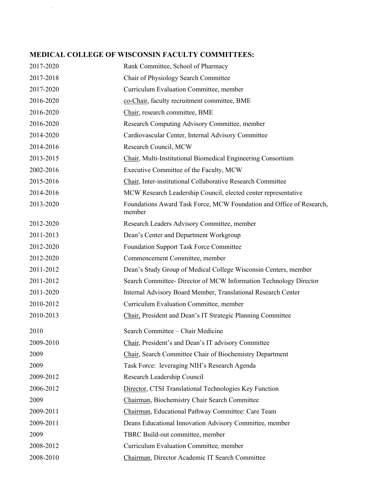## **MEDICAL COLLEGE OF WISCONSIN FACULTY COMMITTEES:**

| 2017-2020 | Rank Committee, School of Pharmacy                                             |
|-----------|--------------------------------------------------------------------------------|
| 2017-2018 | Chair of Physiology Search Committee                                           |
| 2017-2020 | Curriculum Evaluation Committee, member                                        |
| 2016-2020 | co-Chair, faculty recruitment committee, BME                                   |
| 2016-2020 | Chair, research committee, BME                                                 |
| 2016-2020 | Research Computing Advisory Committee, member                                  |
| 2014-2020 | Cardiovascular Center, Internal Advisory Committee                             |
| 2014-2016 | Research Council, MCW                                                          |
| 2013-2015 | Chair, Multi-Institutional Biomedical Engineering Consortium                   |
| 2002-2016 | Executive Committee of the Faculty, MCW                                        |
| 2015-2016 | Chair, Inter-institutional Collaborative Research Committee                    |
| 2014-2016 | MCW Research Leadership Council, elected center representative                 |
| 2013-2020 | Foundations Award Task Force, MCW Foundation and Office of Research,<br>member |
| 2012-2020 | Research Leaders Advisory Committee, member                                    |
| 2011-2013 | Dean's Center and Department Workgroup                                         |
| 2012-2020 | <b>Foundation Support Task Force Committee</b>                                 |
| 2012-2020 | Commencement Committee, member                                                 |
| 2011-2012 | Dean's Study Group of Medical College Wisconsin Centers, member                |
| 2011-2012 | Search Committee- Director of MCW Information Technology Director              |
| 2011-2020 | Internal Advisory Board Member, Translational Research Center                  |
| 2010-2012 | Curriculum Evaluation Committee, member                                        |
| 2010-2013 | Chair, President and Dean's IT Strategic Planning Committee                    |
| 2010      | Search Committee - Chair Medicine                                              |
| 2009-2010 | Chair, President's and Dean's IT advisory Committee                            |
| 2009      | Chair, Search Committee Chair of Biochemistry Department                       |
| 2009      | Task Force: leveraging NIH's Research Agenda                                   |
| 2009-2012 | Research Leadership Council                                                    |
| 2006-2012 | Director, CTSI Translational Technologies Key Function                         |
| 2009      | Chairman, Biochemistry Chair Search Committee                                  |
| 2009-2011 | Chairman, Educational Pathway Committee: Care Team                             |
| 2009-2011 | Deans Educational Innovation Advisory Committee, member                        |
| 2009      | TBRC Build-out committee, member                                               |
| 2008-2012 | Curriculum Evaluation Committee, member                                        |
| 2008-2010 | Chairman, Director Academic IT Search Committee                                |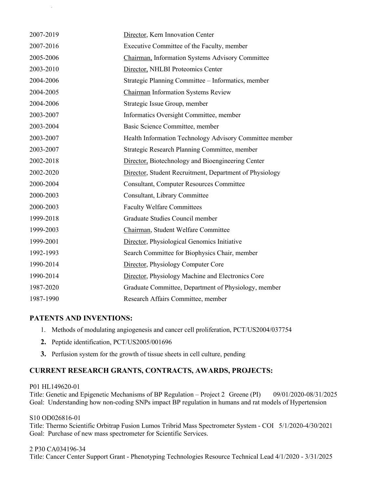| 2007-2019 | Director, Kern Innovation Center                        |
|-----------|---------------------------------------------------------|
| 2007-2016 | Executive Committee of the Faculty, member              |
| 2005-2006 | Chairman, Information Systems Advisory Committee        |
| 2003-2010 | Director, NHLBI Proteomics Center                       |
| 2004-2006 | Strategic Planning Committee - Informatics, member      |
| 2004-2005 | <b>Chairman Information Systems Review</b>              |
| 2004-2006 | Strategic Issue Group, member                           |
| 2003-2007 | Informatics Oversight Committee, member                 |
| 2003-2004 | Basic Science Committee, member                         |
| 2003-2007 | Health Information Technology Advisory Committee member |
| 2003-2007 | Strategic Research Planning Committee, member           |
| 2002-2018 | Director, Biotechnology and Bioengineering Center       |
| 2002-2020 | Director, Student Recruitment, Department of Physiology |
| 2000-2004 | <b>Consultant, Computer Resources Committee</b>         |
| 2000-2003 | Consultant, Library Committee                           |
| 2000-2003 | <b>Faculty Welfare Committees</b>                       |
| 1999-2018 | Graduate Studies Council member                         |
| 1999-2003 | Chairman, Student Welfare Committee                     |
| 1999-2001 | Director, Physiological Genomics Initiative             |
| 1992-1993 | Search Committee for Biophysics Chair, member           |
| 1990-2014 | Director, Physiology Computer Core                      |
| 1990-2014 | Director, Physiology Machine and Electronics Core       |
| 1987-2020 | Graduate Committee, Department of Physiology, member    |
| 1987-1990 | Research Affairs Committee, member                      |

#### **PATENTS AND INVENTIONS:**

Greene, Andrew 1/13/2021

- 1. Methods of modulating angiogenesis and cancer cell proliferation, PCT/US2004/037754
- **2.** Peptide identification, PCT/US2005/001696
- **3.** Perfusion system for the growth of tissue sheets in cell culture, pending

## **CURRENT RESEARCH GRANTS, CONTRACTS, AWARDS, PROJECTS:**

#### P01 HL149620-01

Title: Genetic and Epigenetic Mechanisms of BP Regulation – Project 2 Greene (PI) 09/01/2020-08/31/2025 Goal: Understanding how non-coding SNPs impact BP regulation in humans and rat models of Hypertension

#### S10 OD026816-01

Title: Thermo Scientific Orbitrap Fusion Lumos Tribrid Mass Spectrometer System - COI 5/1/2020-4/30/2021 Goal: Purchase of new mass spectrometer for Scientific Services.

#### 2 P30 CA034196-34

Title: Cancer Center Support Grant - Phenotyping Technologies Resource Technical Lead 4/1/2020 - 3/31/2025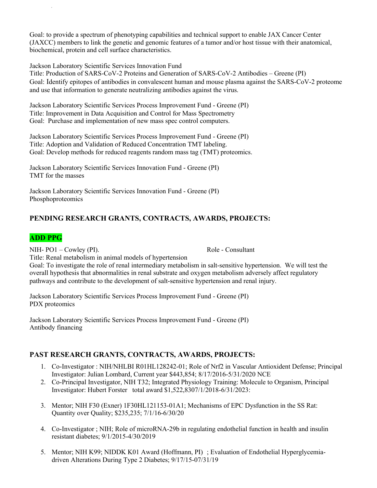Goal: to provide a spectrum of phenotyping capabilities and technical support to enable JAX Cancer Center (JAXCC) members to link the genetic and genomic features of a tumor and/or host tissue with their anatomical, biochemical, protein and cell surface characteristics.

Jackson Laboratory Scientific Services Innovation Fund

Greene, Andrew 1/13/2021

Title: Production of SARS-CoV-2 Proteins and Generation of SARS-CoV-2 Antibodies – Greene (PI) Goal: Identify epitopes of antibodies in convalescent human and mouse plasma against the SARS-CoV-2 proteome and use that information to generate neutralizing antibodies against the virus.

Jackson Laboratory Scientific Services Process Improvement Fund - Greene (PI) Title: Improvement in Data Acquisition and Control for Mass Spectrometry Goal: Purchase and implementation of new mass spec control computers.

Jackson Laboratory Scientific Services Process Improvement Fund - Greene (PI) Title: Adoption and Validation of Reduced Concentration TMT labeling. Goal: Develop methods for reduced reagents random mass tag (TMT) proteomics.

Jackson Laboratory Scientific Services Innovation Fund - Greene (PI) TMT for the masses

Jackson Laboratory Scientific Services Innovation Fund - Greene (PI) Phosphoproteomics

## **PENDING RESEARCH GRANTS, CONTRACTS, AWARDS, PROJECTS:**

## **ADD PPG**

NIH- PO1 – Cowley (PI). Role - Consultant

Title: Renal metabolism in animal models of hypertension

Goal: To investigate the role of renal intermediary metabolism in salt-sensitive hypertension. We will test the overall hypothesis that abnormalities in renal substrate and oxygen metabolism adversely affect regulatory pathways and contribute to the development of salt-sensitive hypertension and renal injury.

Jackson Laboratory Scientific Services Process Improvement Fund - Greene (PI) PDX proteomics

Jackson Laboratory Scientific Services Process Improvement Fund - Greene (PI) Antibody financing

## **PAST RESEARCH GRANTS, CONTRACTS, AWARDS, PROJECTS:**

- 1. Co-Investigator : NIH/NHLBI R01HL128242-01; Role of Nrf2 in Vascular Antioxident Defense; Principal Investigator: Julian Lombard, Current year \$443,854; 8/17/2016-5/31/2020 NCE
- 2. Co-Principal Investigator, NIH T32; Integrated Physiology Training: Molecule to Organism, Principal Investigator: Hubert Forster total award \$1,522,8307/1/2018-6/31/2023:
- 3. Mentor; NIH F30 (Exner) 1F30HL121153-01A1; Mechanisms of EPC Dysfunction in the SS Rat: Quantity over Quality; \$235,235; 7/1/16-6/30/20
- 4. Co-Investigator ; NIH; Role of microRNA-29b in regulating endothelial function in health and insulin resistant diabetes; 9/1/2015-4/30/2019
- 5. Mentor; NIH K99; NIDDK K01 Award (Hoffmann, PI) ; Evaluation of Endothelial Hyperglycemiadriven Alterations During Type 2 Diabetes; 9/17/15-07/31/19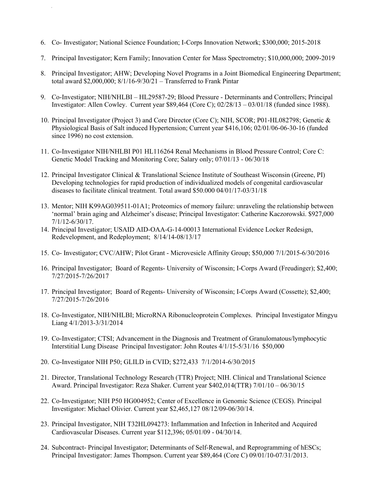6. Co- Investigator; National Science Foundation; I-Corps Innovation Network; \$300,000; 2015-2018

- 7. Principal Investigator; Kern Family; Innovation Center for Mass Spectrometry; \$10,000,000; 2009-2019
- 8. Principal Investigator; AHW; Developing Novel Programs in a Joint Biomedical Engineering Department; total award \$2,000,000; 8/1/16-9/30/21 – Transferred to Frank Pintar
- 9. Co-Investigator; NIH/NHLBI HL29587-29; Blood Pressure Determinants and Controllers; Principal Investigator: Allen Cowley. Current year \$89,464 (Core C); 02/28/13 – 03/01/18 (funded since 1988).
- 10. Principal Investigator (Project 3) and Core Director (Core C); NIH, SCOR; P01-HL082798; Genetic & Physiological Basis of Salt induced Hypertension; Current year \$416,106; 02/01/06-06-30-16 (funded since 1996) no cost extension.
- 11. Co-Investigator NIH/NHLBI P01 HL116264 Renal Mechanisms in Blood Pressure Control; Core C: Genetic Model Tracking and Monitoring Core; Salary only; 07/01/13 - 06/30/18
- 12. Principal Investigator Clinical & Translational Science Institute of Southeast Wisconsin (Greene, PI) Developing technologies for rapid production of individualized models of congenital cardiovascular diseases to facilitate clinical treatment. Total award \$50.000 04/01/17-03/31/18
- 13. Mentor; NIH K99AG039511-01A1; Proteomics of memory failure: unraveling the relationship between 'normal' brain aging and Alzheimer's disease; Principal Investigator: Catherine Kaczorowski. \$927,000 7/1/12-6/30/17.
- 14. Principal Investigator; USAID AID-OAA-G-14-00013 International Evidence Locker Redesign, Redevelopment, and Redeployment; 8/14/14-08/13/17
- 15. Co- Investigator; CVC/AHW; Pilot Grant Microvesicle Affinity Group; \$50,000 7/1/2015-6/30/2016
- 16. Principal Investigator; Board of Regents- University of Wisconsin; I-Corps Award (Freudinger); \$2,400; 7/27/2015-7/26/2017
- 17. Principal Investigator; Board of Regents- University of Wisconsin; I-Corps Award (Cossette); \$2,400; 7/27/2015-7/26/2016
- 18. Co-Investigator, NIH/NHLBI; MicroRNA Ribonucleoprotein Complexes. Principal Investigator Mingyu Liang 4/1/2013-3/31/2014
- 19. Co-Investigator; CTSI; Advancement in the Diagnosis and Treatment of Granulomatous/lymphocytic Interstitial Lung Disease Principal Investigator: John Routes 4/1/15-5/31/16 \$50,000
- 20. Co-Investigator NIH P50; GLILD in CVID; \$272,433 7/1/2014-6/30/2015
- 21. Director, Translational Technology Research (TTR) Project; NIH. Clinical and Translational Science Award. Principal Investigator: Reza Shaker. Current year \$402,014(TTR) 7/01/10 – 06/30/15
- 22. Co-Investigator; NIH P50 HG004952; Center of Excellence in Genomic Science (CEGS). Principal Investigator: Michael Olivier. Current year \$2,465,127 08/12/09-06/30/14.
- 23. Principal Investigator, NIH T32HL094273: Inflammation and Infection in Inherited and Acquired Cardiovascular Diseases. Current year \$112,396; 05/01/09 - 04/30/14.
- 24. Subcontract- Principal Investigator; Determinants of Self-Renewal, and Reprogramming of hESCs; Principal Investigator: James Thompson. Current year \$89,464 (Core C) 09/01/10-07/31/2013.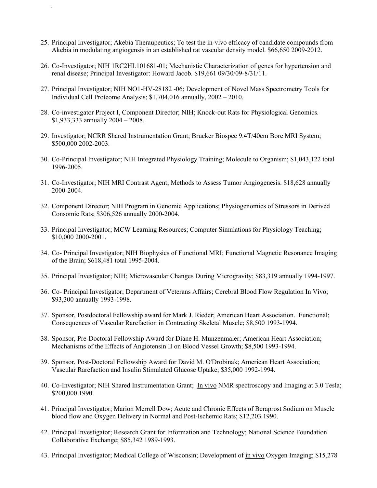25. Principal Investigator; Akebia Theraupeutics; To test the in-vivo efficacy of candidate compounds from Akebia in modulating angiogensis in an established rat vascular density model. \$66,650 2009-2012.

- 26. Co-Investigator; NIH 1RC2HL101681-01; Mechanistic Characterization of genes for hypertension and renal disease; Principal Investigator: Howard Jacob. \$19,661 09/30/09-8/31/11.
- 27. Principal Investigator; NIH NO1-HV-28182 -06; Development of Novel Mass Spectrometry Tools for Individual Cell Proteome Analysis; \$1,704,016 annually, 2002 – 2010.
- 28. Co-investigator Project I, Component Director; NIH; Knock-out Rats for Physiological Genomics. \$1,933,333 annually 2004 – 2008.
- 29. Investigator; NCRR Shared Instrumentation Grant; Brucker Biospec 9.4T/40cm Bore MRI System; \$500,000 2002-2003.
- 30. Co-Principal Investigator; NIH Integrated Physiology Training; Molecule to Organism; \$1,043,122 total 1996-2005.
- 31. Co-Investigator; NIH MRI Contrast Agent; Methods to Assess Tumor Angiogenesis. \$18,628 annually 2000-2004.
- 32. Component Director; NIH Program in Genomic Applications; Physiogenomics of Stressors in Derived Consomic Rats; \$306,526 annually 2000-2004.
- 33. Principal Investigator; MCW Learning Resources; Computer Simulations for Physiology Teaching; \$10,000 2000-2001.
- 34. Co- Principal Investigator; NIH Biophysics of Functional MRI; Functional Magnetic Resonance Imaging of the Brain; \$618,481 total 1995-2004.
- 35. Principal Investigator; NIH; Microvascular Changes During Microgravity; \$83,319 annually 1994-1997.
- 36. Co- Principal Investigator; Department of Veterans Affairs; Cerebral Blood Flow Regulation In Vivo; \$93,300 annually 1993-1998.
- 37. Sponsor, Postdoctoral Fellowship award for Mark J. Rieder; American Heart Association. Functional; Consequences of Vascular Rarefaction in Contracting Skeletal Muscle; \$8,500 1993-1994.
- 38. Sponsor, Pre-Doctoral Fellowship Award for Diane H. Munzenmaier; American Heart Association; Mechanisms of the Effects of Angiotensin II on Blood Vessel Growth; \$8,500 1993-1994.
- 39. Sponsor, Post-Doctoral Fellowship Award for David M. O'Drobinak; American Heart Association; Vascular Rarefaction and Insulin Stimulated Glucose Uptake; \$35,000 1992-1994.
- 40. Co-Investigator; NIH Shared Instrumentation Grant; In vivo NMR spectroscopy and Imaging at 3.0 Tesla; \$200,000 1990.
- 41. Principal Investigator; Marion Merrell Dow; Acute and Chronic Effects of Beraprost Sodium on Muscle blood flow and Oxygen Delivery in Normal and Post-Ischemic Rats; \$12,203 1990.
- 42. Principal Investigator; Research Grant for Information and Technology; National Science Foundation Collaborative Exchange; \$85,342 1989-1993.
- 43. Principal Investigator; Medical College of Wisconsin; Development of in vivo Oxygen Imaging; \$15,278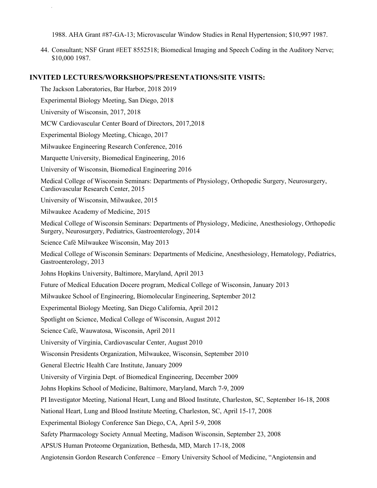1988. AHA Grant #87-GA-13; Microvascular Window Studies in Renal Hypertension; \$10,997 1987.

44. Consultant; NSF Grant #EET 8552518; Biomedical Imaging and Speech Coding in the Auditory Nerve; \$10,000 1987.

#### **INVITED LECTURES/WORKSHOPS/PRESENTATIONS/SITE VISITS:**

The Jackson Laboratories, Bar Harbor, 2018 2019

Experimental Biology Meeting, San Diego, 2018

University of Wisconsin, 2017, 2018

Greene, Andrew 1/13/2021

MCW Cardiovascular Center Board of Directors, 2017,2018

Experimental Biology Meeting, Chicago, 2017

Milwaukee Engineering Research Conference, 2016

Marquette University, Biomedical Engineering, 2016

University of Wisconsin, Biomedical Engineering 2016

Medical College of Wisconsin Seminars: Departments of Physiology, Orthopedic Surgery, Neurosurgery, Cardiovascular Research Center, 2015

University of Wisconsin, Milwaukee, 2015

Milwaukee Academy of Medicine, 2015

Medical College of Wisconsin Seminars: Departments of Physiology, Medicine, Anesthesiology, Orthopedic Surgery, Neurosurgery, Pediatrics, Gastroenterology, 2014

Science Café Milwaukee Wisconsin, May 2013

Medical College of Wisconsin Seminars: Departments of Medicine, Anesthesiology, Hematology, Pediatrics, Gastroenterology, 2013

Johns Hopkins University, Baltimore, Maryland, April 2013

Future of Medical Education Docere program, Medical College of Wisconsin, January 2013

Milwaukee School of Engineering, Biomolecular Engineering, September 2012

Experimental Biology Meeting, San Diego California, April 2012

Spotlight on Science, Medical College of Wisconsin, August 2012

Science Café, Wauwatosa, Wisconsin, April 2011

University of Virginia, Cardiovascular Center, August 2010

Wisconsin Presidents Organization, Milwaukee, Wisconsin, September 2010

General Electric Health Care Institute, January 2009

University of Virginia Dept. of Biomedical Engineering, December 2009

Johns Hopkins School of Medicine, Baltimore, Maryland, March 7-9, 2009

PI Investigator Meeting, National Heart, Lung and Blood Institute, Charleston, SC, September 16-18, 2008

National Heart, Lung and Blood Institute Meeting, Charleston, SC, April 15-17, 2008

Experimental Biology Conference San Diego, CA, April 5-9, 2008

Safety Pharmacology Society Annual Meeting, Madison Wisconsin, September 23, 2008

APSUS Human Proteome Organization, Bethesda, MD, March 17-18, 2008

Angiotensin Gordon Research Conference – Emory University School of Medicine, "Angiotensin and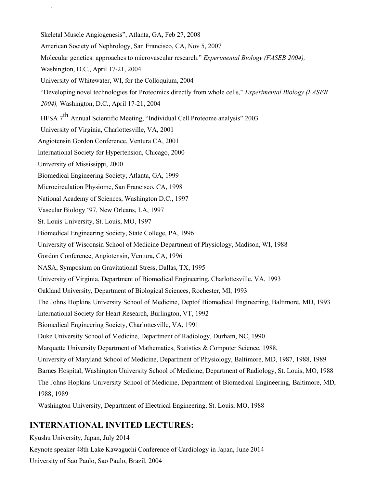Skeletal Muscle Angiogenesis", Atlanta, GA, Feb 27, 2008

American Society of Nephrology, San Francisco, CA, Nov 5, 2007

Molecular genetics: approaches to microvascular research." *Experimental Biology (FASEB 2004),*

Washington, D.C., April 17-21, 2004

Greene, Andrew 1/13/2021

University of Whitewater, WI, for the Colloquium, 2004

"Developing novel technologies for Proteomics directly from whole cells," *Experimental Biology (FASEB*

*2004),* Washington, D.C., April 17-21, 2004

HFSA <sup>7</sup>th Annual Scientific Meeting, "Individual Cell Proteome analysis" <sup>2003</sup>

University of Virginia, Charlottesville, VA, 2001

Angiotensin Gordon Conference, Ventura CA, 2001

International Society for Hypertension, Chicago, 2000

University of Mississippi, 2000

- Biomedical Engineering Society, Atlanta, GA, 1999
- Microcirculation Physiome, San Francisco, CA, 1998

National Academy of Sciences, Washington D.C., 1997

Vascular Biology '97, New Orleans, LA, 1997

St. Louis University, St. Louis, MO, 1997

Biomedical Engineering Society, State College, PA, 1996

University of Wisconsin School of Medicine Department of Physiology, Madison, WI, 1988

Gordon Conference, Angiotensin, Ventura, CA, 1996

NASA, Symposium on Gravitational Stress, Dallas, TX, 1995

University of Virginia, Department of Biomedical Engineering, Charlottesville, VA, 1993

Oakland University, Department of Biological Sciences, Rochester, MI, 1993

The Johns Hopkins University School of Medicine, Deptof Biomedical Engineering, Baltimore, MD, 1993

International Society for Heart Research, Burlington, VT, 1992

Biomedical Engineering Society, Charlottesville, VA, 1991

Duke University School of Medicine, Department of Radiology, Durham, NC, 1990

Marquette University Department of Mathematics, Statistics & Computer Science, 1988,

University of Maryland School of Medicine, Department of Physiology, Baltimore, MD, 1987, 1988, 1989

Barnes Hospital, Washington University School of Medicine, Department of Radiology, St. Louis, MO, 1988

The Johns Hopkins University School of Medicine, Department of Biomedical Engineering, Baltimore, MD, 1988, 1989

Washington University, Department of Electrical Engineering, St. Louis, MO, 1988

## **INTERNATIONAL INVITED LECTURES:**

Kyushu University, Japan, July 2014 Keynote speaker 48th Lake Kawaguchi Conference of Cardiology in Japan, June 2014 University of Sao Paulo, Sao Paulo, Brazil, 2004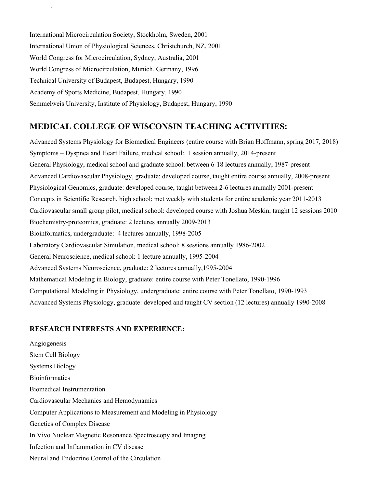International Microcirculation Society, Stockholm, Sweden, 2001 International Union of Physiological Sciences, Christchurch, NZ, 2001 World Congress for Microcirculation, Sydney, Australia, 2001 World Congress of Microcirculation, Munich, Germany, 1996 Technical University of Budapest, Budapest, Hungary, 1990 Academy of Sports Medicine, Budapest, Hungary, 1990 Semmelweis University, Institute of Physiology, Budapest, Hungary, 1990

Greene, Andrew 1/13/2021

## **MEDICAL COLLEGE OF WISCONSIN TEACHING ACTIVITIES:**

Advanced Systems Physiology for Biomedical Engineers (entire course with Brian Hoffmann, spring 2017, 2018) Symptoms – Dyspnea and Heart Failure, medical school: 1 session annually, 2014-present General Physiology, medical school and graduate school: between 6-18 lectures annually, 1987-present Advanced Cardiovascular Physiology, graduate: developed course, taught entire course annually, 2008-present Physiological Genomics, graduate: developed course, taught between 2-6 lectures annually 2001-present Concepts in Scientific Research, high school; met weekly with students for entire academic year 2011-2013 Cardiovascular small group pilot, medical school: developed course with Joshua Meskin, taught 12 sessions 2010 Biochemistry-proteomics, graduate: 2 lectures annually 2009-2013 Bioinformatics, undergraduate: 4 lectures annually, 1998-2005 Laboratory Cardiovascular Simulation, medical school: 8 sessions annually 1986-2002 General Neuroscience, medical school: 1 lecture annually, 1995-2004 Advanced Systems Neuroscience, graduate: 2 lectures annually,1995-2004 Mathematical Modeling in Biology, graduate: entire course with Peter Tonellato, 1990-1996 Computational Modeling in Physiology, undergraduate: entire course with Peter Tonellato, 1990-1993 Advanced Systems Physiology, graduate: developed and taught CV section (12 lectures) annually 1990-2008

#### **RESEARCH INTERESTS AND EXPERIENCE:**

Angiogenesis Stem Cell Biology Systems Biology Bioinformatics Biomedical Instrumentation Cardiovascular Mechanics and Hemodynamics Computer Applications to Measurement and Modeling in Physiology Genetics of Complex Disease In Vivo Nuclear Magnetic Resonance Spectroscopy and Imaging Infection and Inflammation in CV disease Neural and Endocrine Control of the Circulation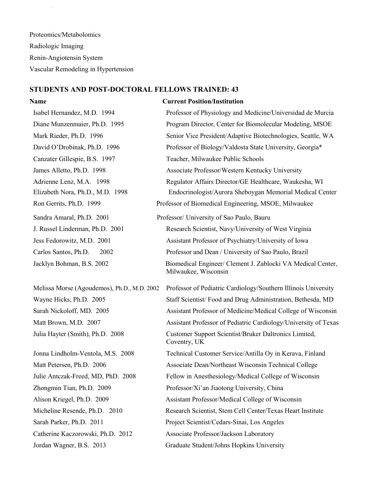Proteomics/Metabolomics Radiologic Imaging Renin-Angiotensin System Vascular Remodeling in Hypertension

Greene, Andrew 1/13/2021

### **STUDENTS AND POST-DOCTORAL FELLOWS TRAINED: 43**

#### **Name Current Position/Institution**

Isabel Hernandez, M.D. 1994 Professor of Physiology and Medicine/Universidad de Murcia Diane Munzenmaier, Ph.D. 1995 Program Director, Center for Biomolecular Modeling, MSOE Mark Rieder, Ph.D. 1996 Senior Vice President/Adaptive Biotechnologies, Seattle, WA David O'Drobinak, Ph.D. 1996 Professor of Biology/Valdosta State University, Georgia\* Canzater Gillespie, B.S. 1997 Teacher, Milwaukee Public Schools James Alletto, Ph.D. 1998 Associate Professor/Western Kentucky University Adrienne Lenz, M.A. 1998 Regulator Affairs Director/GE Healthcare, Waukesha, WI Elizabeth Nora, Ph.D., M.D. 1998 Endocrinologist/Aurora Sheboygan Memorial Medical Center Ron Gerrits, Ph.D. 1999 Professor of Biomedical Engineering, MSOE, Milwaukee Sandra Amaral, Ph.D. 2001 Professor/ University of Sao Paulo, Bauru J. Russel Linderman, Ph.D. 2001 Research Scientist, Navy/University of West Virginia Jess Fedorowitz, M.D. 2001 Assistant Professor of Psychiatry/University of Iowa Carlos Santos, Ph.D. 2002 Professor and Dean / University of Sao Paulo, Brazil Jacklyn Bohman, B.S. 2002 Biomedical Engineer/ Clement J. Zablocki VA Medical Center, Milwaukee, Wisconsin Melissa Morse (Agoudemos), Ph.D., M.D. 2002 Professor of Pediatric Cardiology/Southern Illinois University Wayne Hicks, Ph.D. 2005 Staff Scientist/ Food and Drug Administration, Bethesda, MD Sarah Nickoloff, MD. 2005 Assistant Professor of Medicine/Medical College of Wisconsin Matt Brown, M.D. 2007 Assistant Professor of Pediatric Cardiology/University of Texas Julia Hayter (Smith), Ph.D. 2008 Customer Support Scientist/Bruker Daltronics Limited, Coventry, UK

Jonna Lindholm-Ventola, M.S. 2008 Technical Customer Service/Antilla Oy in Kerava, Finland Matt Petersen, Ph.D. 2006 Associate Dean/Northeast Wisconsin Technical College Julie Antczak-Freed, MD, PhD. 2008 Fellow in Anesthesiology/Medical College of Wisconsin Zhongmin Tian, Ph.D. 2009 Professor/Xi'an Jiaotong University, China Alison Kriegel, Ph.D. 2009 Assistant Professor/Medical College of Wisconsin Micheline Resende, Ph.D. 2010 Research Scientist, Stem Cell Center/Texas Heart Institute Sarah Parker, Ph.D. 2011 Project Scientist/Cedars-Sinai, Los Angeles Catherine Kaczorowski, Ph.D. 2012 Associate Professor/Jackson Laboratory

Jordan Wagner, B.S. 2013 Graduate Student/Johns Hopkins University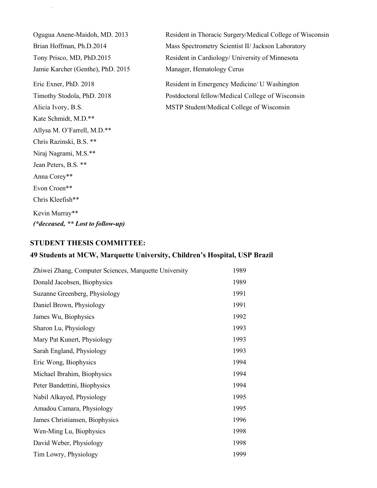Jamie Karcher (Genthe), PhD. 2015 Manager, Hematology Cerus Kate Schmidt, M.D.\*\* Allysa M. O'Farrell, M.D.\*\* Chris Razinski, B.S. \*\* Niraj Nagrami, M.S.\*\* Jean Peters, B.S. \*\* Anna Corey\*\* Evon Croen\*\* Chris Kleefish\*\* Kevin Murray\*\* *(\*deceased, \*\* Lost to follow-up)*

Greene, Andrew 1/13/2021

Ogugua Anene-Maidoh, MD. 2013 Resident in Thoracic Surgery/Medical College of Wisconsin Brian Hoffman, Ph.D.2014 Mass Spectrometry Scientist II/ Jackson Laboratory Tony Prisco, MD, PhD.2015 Resident in Cardiology/ University of Minnesota

Eric Exner, PhD. 2018 Resident in Emergency Medicine/ U Washington Timothy Stodola, PhD. 2018 Postdoctoral fellow/Medical College of Wisconsin Alicia Ivory, B.S. MSTP Student/Medical College of Wisconsin

#### **STUDENT THESIS COMMITTEE:**

#### **49 Students at MCW, Marquette University, Children's Hospital, USP Brazil**

| Zhiwei Zhang, Computer Sciences, Marquette University |      |
|-------------------------------------------------------|------|
| Donald Jacobsen, Biophysics                           |      |
| Suzanne Greenberg, Physiology                         |      |
| Daniel Brown, Physiology                              |      |
| James Wu, Biophysics                                  |      |
| Sharon Lu, Physiology                                 | 1993 |
| Mary Pat Kunert, Physiology                           | 1993 |
| Sarah England, Physiology                             | 1993 |
| Eric Wong, Biophysics                                 | 1994 |
| Michael Ibrahim, Biophysics                           | 1994 |
| Peter Bandettini, Biophysics                          |      |
| Nabil Alkayed, Physiology                             |      |
| Amadou Camara, Physiology                             |      |
| James Christiansen, Biophysics                        |      |
| Wen-Ming Lu, Biophysics                               |      |
| David Weber, Physiology                               |      |
| Tim Lowry, Physiology                                 |      |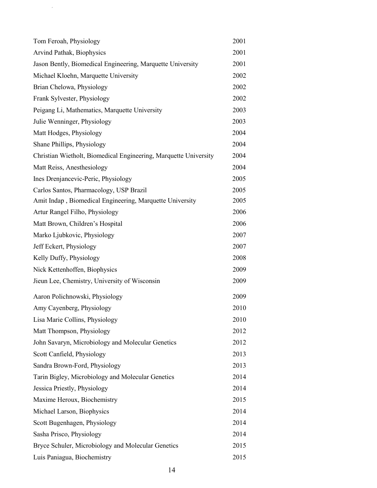| Tom Feroah, Physiology                                           | 2001 |
|------------------------------------------------------------------|------|
| Arvind Pathak, Biophysics                                        | 2001 |
| Jason Bently, Biomedical Engineering, Marquette University       | 2001 |
| Michael Kloehn, Marquette University                             | 2002 |
| Brian Chelowa, Physiology                                        | 2002 |
| Frank Sylvester, Physiology                                      | 2002 |
| Peigang Li, Mathematics, Marquette University                    | 2003 |
| Julie Wenninger, Physiology                                      | 2003 |
| Matt Hodges, Physiology                                          | 2004 |
| Shane Phillips, Physiology                                       | 2004 |
| Christian Wietholt, Biomedical Engineering, Marquette University | 2004 |
| Matt Reiss, Anesthesiology                                       | 2004 |
| Ines Drenjancevic-Peric, Physiology                              | 2005 |
| Carlos Santos, Pharmacology, USP Brazil                          | 2005 |
| Amit Indap, Biomedical Engineering, Marquette University         | 2005 |
| Artur Rangel Filho, Physiology                                   | 2006 |
| Matt Brown, Children's Hospital                                  | 2006 |
| Marko Ljubkovic, Physiology                                      | 2007 |
| Jeff Eckert, Physiology                                          | 2007 |
| Kelly Duffy, Physiology                                          | 2008 |
| Nick Kettenhoffen, Biophysics                                    | 2009 |
| Jieun Lee, Chemistry, University of Wisconsin                    | 2009 |
| Aaron Polichnowski, Physiology                                   | 2009 |
| Amy Cayenberg, Physiology                                        | 2010 |
| Lisa Marie Collins, Physiology                                   | 2010 |
| Matt Thompson, Physiology                                        | 2012 |
| John Savaryn, Microbiology and Molecular Genetics                | 2012 |
| Scott Canfield, Physiology                                       | 2013 |
| Sandra Brown-Ford, Physiology                                    | 2013 |
| Tarin Bigley, Microbiology and Molecular Genetics                | 2014 |
| Jessica Priestly, Physiology                                     | 2014 |
| Maxime Heroux, Biochemistry                                      | 2015 |
| Michael Larson, Biophysics                                       | 2014 |
| Scott Bugenhagen, Physiology                                     |      |
| Sasha Prisco, Physiology                                         |      |
| Bryce Schuler, Microbiology and Molecular Genetics               |      |
| Luis Paniagua, Biochemistry                                      | 2015 |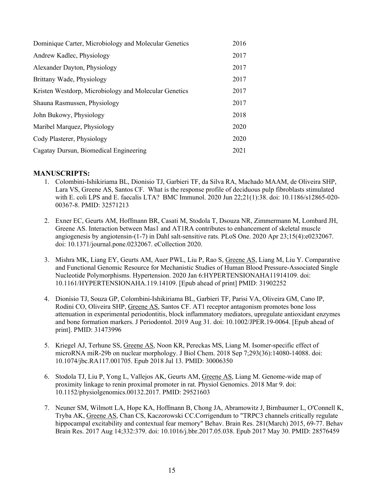| 2016 |
|------|
| 2017 |
| 2017 |
| 2017 |
| 2017 |
| 2017 |
| 2018 |
| 2020 |
| 2020 |
| 2021 |
|      |

#### **MANUSCRIPTS:**

- 1. Colombini-Ishikiriama BL, Dionisio TJ, Garbieri TF, da Silva RA, Machado MAAM, de Oliveira SHP, Lara VS, Greene AS, Santos CF. What is the response profile of deciduous pulp fibroblasts stimulated with E. coli LPS and E. faecalis LTA? BMC Immunol. 2020 Jun 22;21(1):38. doi: 10.1186/s12865-020- 00367-8. PMID: 32571213
- 2. Exner EC, Geurts AM, Hoffmann BR, Casati M, Stodola T, Dsouza NR, Zimmermann M, Lombard JH, Greene AS. Interaction between Mas1 and AT1RA contributes to enhancement of skeletal muscle angiogenesis by angiotensin-(1-7) in Dahl salt-sensitive rats. PLoS One. 2020 Apr 23;15(4):e0232067. doi: 10.1371/journal.pone.0232067. eCollection 2020.
- 3. Mishra MK, Liang EY, Geurts AM, Auer PWL, Liu P, Rao S, Greene AS, Liang M, Liu Y. Comparative and Functional Genomic Resource for Mechanistic Studies of Human Blood Pressure-Associated Single Nucleotide Polymorphisms. Hypertension. 2020 Jan 6:HYPERTENSIONAHA11914109. doi: 10.1161/HYPERTENSIONAHA.119.14109. [Epub ahead of print] PMID: 31902252
- 4. Dionísio TJ, Souza GP, Colombini-Ishikiriama BL, Garbieri TF, Parisi VA, Oliveira GM, Cano IP, Rodini CO, Oliveira SHP, Greene AS, Santos CF. AT1 receptor antagonism promotes bone loss attenuation in experimental periodontitis, block inflammatory mediators, upregulate antioxidant enzymes and bone formation markers. J Periodontol. 2019 Aug 31. doi: 10.1002/JPER.19-0064. [Epub ahead of print]. PMID: 31473996
- 5. Kriegel AJ, Terhune SS, Greene AS, Noon KR, Pereckas MS, Liang M. Isomer-specific effect of microRNA miR-29b on nuclear morphology. J Biol Chem. 2018 Sep 7;293(36):14080-14088. doi: 10.1074/jbc.RA117.001705. Epub 2018 Jul 13. PMID: 30006350
- 6. Stodola TJ, Liu P, Yong L, Vallejos AK, Geurts AM, Greene AS, Liang M. Genome-wide map of proximity linkage to renin proximal promoter in rat. Physiol Genomics. 2018 Mar 9. doi: 10.1152/physiolgenomics.00132.2017. PMID: 29521603
- 7. Neuner SM, Wilmott LA, Hope KA, Hoffmann B, Chong JA, Abramowitz J, Birnbaumer L, O'Connell K, Tryba AK, Greene AS, Chan CS, Kaczorowski CC.Corrigendum to "TRPC3 channels critically regulate hippocampal excitability and contextual fear memory" Behav. Brain Res. 281(March) 2015, 69-77. Behav Brain Res. 2017 Aug 14;332:379. doi: 10.1016/j.bbr.2017.05.038. Epub 2017 May 30. PMID: 28576459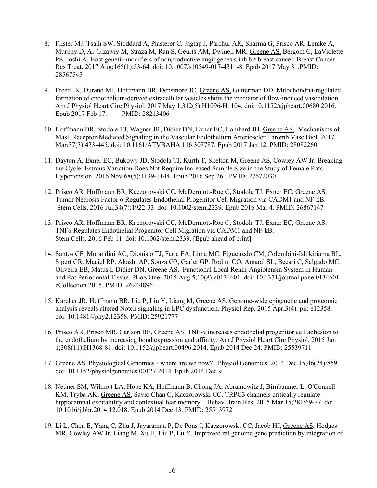- 8. Flister MJ, Tsaih SW, Stoddard A, Plasterer C, Jagtap J, Parchur AK, Sharma G, Prisco AR, Lemke A, Murphy D, Al-Gizawiy M, Straza M, Ran S, Geurts AM, Dwinell MR, Greene AS, Bergom C, LaViolette PS, Joshi A. Host genetic modifiers of nonproductive angiogenesis inhibit breast cancer. Breast Cancer Res Treat. 2017 Aug;165(1):53-64. doi: 10.1007/s10549-017-4311-8. Epub 2017 May 31.PMID: 28567545
- 9. Freed JK, Durand MJ, Hoffmann BR, Densmore JC, Greene AS, Gutterman DD. Mitochondria-regulated formation of endothelium-derived extracellular vesicles shifts the mediator of flow-induced vasodilation. Am J Physiol Heart Circ Physiol. 2017 May 1;312(5):H1096-H1104. doi: 0.1152/ajpheart.00680.2016. Epub 2017 Feb 17. PMID: 28213406
- 10. Hoffmann BR, Stodola TJ, Wagner JR, Didier DN, Exner EC, Lombard JH, Greene AS. .Mechanisms of Mas1 Receptor-Mediated Signaling in the Vascular Endothelium Arterioscler Thromb Vasc Biol. 2017 Mar;37(3):433-445. doi: 10.1161/ATVBAHA.116.307787. Epub 2017 Jan 12. PMID: 28082260
- 11. Dayton A, Exner EC, Bukowy JD, Stodola TJ, Kurth T, Skelton M, Greene AS, Cowley AW Jr. Breaking the Cycle: Estrous Variation Does Not Require Increased Sample Size in the Study of Female Rats. Hypertension. 2016 Nov;68(5):1139-1144. Epub 2016 Sep 26. PMID: 27672030
- 12. Prisco AR, Hoffmann BR, Kaczorowski CC, McDermott-Roe C, Stodola TJ, Exner EC, Greene AS. Tumor Necrosis Factor α Regulates Endothelial Progenitor Cell Migration via CADM1 and NF-kB. Stem Cells. 2016 Jul;34(7):1922-33. doi: 10.1002/stem.2339. Epub 2016 Mar 4. PMID: 26867147
- 13. Prisco AR, Hoffmann BR, Kaczorowski CC, McDermott-Roe C, Stodola TJ, Exner EC, Greene AS. TNFα Regulates Endothelial Progenitor Cell Migration via CADM1 and NF-kB. Stem Cells. 2016 Feb 11. doi: 10.1002/stem.2339. [Epub ahead of print]
- 14. Santos CF, Morandini AC, Dionísio TJ, Faria FA, Lima MC, Figueiredo CM, Colombini-Ishikiriama BL, Sipert CR, Maciel RP, Akashi AP, Souza GP, Garlet GP, Rodini CO, Amaral SL, Becari C, Salgado MC, Oliveira EB, Matus I, Didier DN, Greene AS. Functional Local Renin-Angiotensin System in Human and Rat Periodontal Tissue. PLoS One. 2015 Aug 5;10(8):e0134601. doi: 10.1371/journal.pone.0134601. eCollection 2015. PMID: 26244896
- 15. Karcher JR, Hoffmann BR, Liu P, Liu Y, Liang M, Greene AS. Genome-wide epigenetic and proteomic analysis reveals altered Notch signaling in EPC dysfunction. Physiol Rep. 2015 Apr;3(4). pii: e12358. doi: 10.14814/phy2.12358. PMID: 25921777
- 16. Prisco AR, Prisco MR, Carlson BE, Greene AS. TNF-α increases endothelial progenitor cell adhesion to the endothelium by increasing bond expression and affinity. Am J Physiol Heart Circ Physiol. 2015 Jun 1;308(11):H1368-81. doi: 10.1152/ajpheart.00496.2014. Epub 2014 Dec 24. PMID: 25539711
- 17. Greene AS. Physiological Genomics where are we now? Physiol Genomics. 2014 Dec 15;46(24):859. doi: 10.1152/physiolgenomics.00127.2014. Epub 2014 Dec 9.
- 18. Neuner SM, Wilmott LA, Hope KA, Hoffmann B, Chong JA, Abramowitz J, Birnbaumer L, O'Connell KM, Tryba AK, Greene AS, Savio Chan C, Kaczorowski CC. TRPC3 channels critically regulate hippocampal excitability and contextual fear memory. Behav Brain Res. 2015 Mar 15;281:69-77. doi: 10.1016/j.bbr.2014.12.018. Epub 2014 Dec 13. PMID: 25513972
- 19. Li L, Chen E, Yang C, Zhu J, Jayaraman P, De Pons J, Kaczorowski CC, Jacob HJ, Greene AS, Hodges MR, Cowley AW Jr, Liang M, Xu H, Liu P, Lu Y. Improved rat genome gene prediction by integration of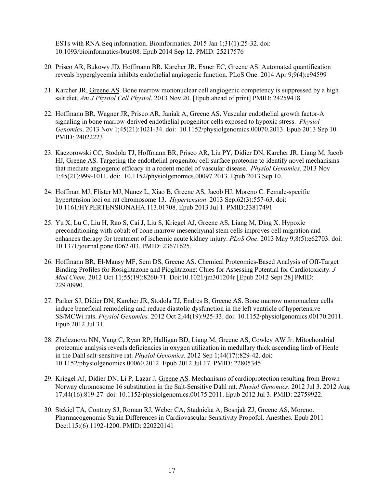ESTs with RNA-Seq information. Bioinformatics. 2015 Jan 1;31(1):25-32. doi: 10.1093/bioinformatics/btu608. Epub 2014 Sep 12. PMID: 25217576

- 20. Prisco AR, Bukowy JD, Hoffmann BR, Karcher JR, Exner EC, Greene AS. Automated quantification reveals hyperglycemia inhibits endothelial angiogenic function. PLoS One. 2014 Apr 9;9(4):e94599
- 21. Karcher JR, Greene AS. Bone marrow mononuclear cell angiogenic competency is suppressed by a high salt diet. *Am J Physiol Cell Physiol*. 2013 Nov 20. [Epub ahead of print] PMID: 24259418
- 22. Hoffmann BR, Wagner JR, Prisco AR, Janiak A, Greene AS. Vascular endothelial growth factor-A signaling in bone marrow-derived endothelial progenitor cells exposed to hypoxic stress. *Physiol Genomics*. 2013 Nov 1;45(21):1021-34. doi: 10.1152/physiolgenomics.00070.2013. Epub 2013 Sep 10. PMID: 24022223
- 23. Kaczorowski CC, Stodola TJ, Hoffmann BR, Prisco AR, Liu PY, Didier DN, Karcher JR, Liang M, Jacob HJ, Greene AS. Targeting the endothelial progenitor cell surface proteome to identify novel mechanisms that mediate angiogenic efficacy in a rodent model of vascular disease. *Physiol Genomics*. 2013 Nov 1;45(21):999-1011. doi: 10.1152/physiolgenomics.00097.2013. Epub 2013 Sep 10.
- 24. Hoffman MJ, Flister MJ, Nunez L, Xiao B, Greene AS, Jacob HJ, Moreno C. Female-specific hypertension loci on rat chromosome 13. *Hypertension*. 2013 Sep;62(3):557-63. doi: 10.1161/HYPERTENSIONAHA.113.01708. Epub 2013 Jul 1. PMID:23817491
- 25. Yu X, Lu C, Liu H, Rao S, Cai J, Liu S, Kriegel AJ, Greene AS, Liang M, Ding X. Hypoxic preconditioning with cobalt of bone marrow mesenchymal stem cells improves cell migration and enhances therapy for treatment of ischemic acute kidney injury. *PLoS One*. 2013 May 9;8(5):e62703. doi: 10.1371/journal.pone.0062703. PMID: 23671625.
- 26. Hoffmann BR, El-Mansy MF, Sem DS, Greene AS. Chemical Proteomics-Based Analysis of Off-Target Binding Profiles for Rosiglitazone and Pioglitazone: Clues for Assessing Potential for Cardiotoxicity. *J Med Chem.* 2012 Oct 11;55(19):8260-71. Doi:10.1021/jm301204r [Epub 2012 Sept 28] PMID: 22970990.
- 27. Parker SJ, Didier DN, Karcher JR, Stodola TJ, Endres B, Greene AS. Bone marrow mononuclear cells induce beneficial remodeling and reduce diastolic dysfunction in the left ventricle of hypertensive SS/MCWi rats. *Physiol Genomics.* 2012 Oct 2;44(19):925-33. doi: 10.1152/physiolgenomics.00170.2011. Epub 2012 Jul 31.
- 28. Zheleznova NN, Yang C, Ryan RP, Halligan BD, Liang M, Greene AS, Cowley AW Jr. Mitochondrial proteomic analysis reveals deficiencies in oxygen utilization in medullary thick ascending limb of Henle in the Dahl salt-sensitive rat. *Physiol Genomics.* 2012 Sep 1;44(17):829-42. doi: 10.1152/physiolgenomics.00060.2012. Epub 2012 Jul 17. PMID: 22805345
- 29. Kriegel AJ, Didier DN, Li P, Lazar J, Greene AS. Mechanisms of cardioprotection resulting from Brown Norway chromosome 16 substitution in the Salt-Sensitive Dahl rat. *Physiol Genomics*. 2012 Jul 3. 2012 Aug 17;44(16):819-27. doi: 10.1152/physiolgenomics.00175.2011. Epub 2012 Jul 3. PMID: 22759922.
- 30. Stekiel TA, Contney SJ, Roman RJ, Weber CA, Stadnicka A, Bosnjak ZJ, Greene AS, Moreno. Pharmacogenomic Strain Differences in Cardiovascular Sensitivity Propofol. Anesthes. Epub 2011 Dec:115:(6):1192-1200. PMID: 220220141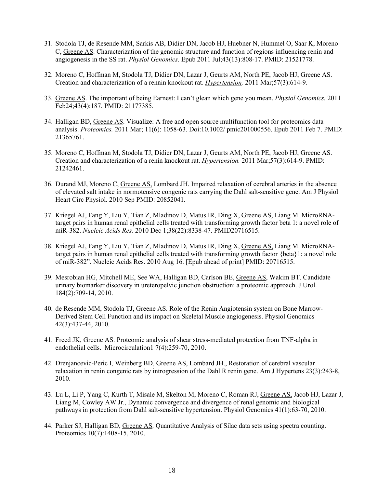- 31. Stodola TJ, de Resende MM, Sarkis AB, Didier DN, Jacob HJ, Huebner N, Hummel O, Saar K, Moreno C, Greene AS. Characterization of the genomic structure and function of regions influencing renin and angiogenesis in the SS rat. *Physiol Genomics*. Epub 2011 Jul;43(13):808-17. PMID: 21521778.
- 32. Moreno C, Hoffman M, Stodola TJ, Didier DN, Lazar J, Geurts AM, North PE, Jacob HJ, Greene AS. Creation and characterization of a rennin knockout rat. *Hypertension.* 2011 Mar;57(3):614-9.
- 33. Greene AS. The important of being Earnest: I can't glean which gene you mean. *Physiol Genomics.* 2011 Feb24;43(4):187. PMID: 21177385.
- 34. Halligan BD, Greene AS. Visualize: A free and open source multifunction tool for proteomics data analysis. *Proteomics.* 2011 Mar; 11(6): 1058-63. Doi:10.1002/ pmic201000556. Epub 2011 Feb 7. PMID: 21365761.
- 35. Moreno C, Hoffman M, Stodola TJ, Didier DN, Lazar J, Geurts AM, North PE, Jacob HJ, Greene AS. Creation and characterization of a renin knockout rat. *Hypertension.* 2011 Mar;57(3):614-9. PMID: 21242461.
- 36. Durand MJ, Moreno C, Greene AS, Lombard JH. Impaired relaxation of cerebral arteries in the absence of elevated salt intake in normotensive congenic rats carrying the Dahl salt-sensitive gene. Am J Physiol Heart Circ Physiol. 2010 Sep PMID: 20852041.
- 37. Kriegel AJ, Fang Y, Liu Y, Tian Z, Mladinov D, Matus IR, Ding X, Greene AS, Liang M. MicroRNAtarget pairs in human renal epithelial cells treated with transforming growth factor beta 1: a novel role of miR-382. *Nucleic Acids Res.* 2010 Dec 1;38(22):8338-47. PMID20716515.
- 38. Kriegel AJ, Fang Y, Liu Y, Tian Z, Mladinov D, Matus IR, Ding X, Greene AS, Liang M. MicroRNAtarget pairs in human renal epithelial cells treated with transforming growth factor {beta}1: a novel role of miR-382". Nucleic Acids Res. 2010 Aug 16. [Epub ahead of print] PMID: 20716515.
- 39. Mesrobian HG, Mitchell ME, See WA, Halligan BD, Carlson BE, Greene AS, Wakim BT. Candidate urinary biomarker discovery in ureteropelvic junction obstruction: a proteomic approach. J Urol. 184(2):709-14, 2010.
- 40. de Resende MM, Stodola TJ, Greene AS. Role of the Renin Angiotensin system on Bone Marrow-Derived Stem Cell Function and its impact on Skeletal Muscle angiogenesis. Physiol Genomics 42(3):437-44, 2010.
- 41. Freed JK, Greene AS. Proteomic analysis of shear stress-mediated protection from TNF-alpha in endothelial cells. Microcirculation1 7(4):259-70, 2010.
- 42. Drenjancevic-Peric I, Weinberg BD, Greene AS, Lombard JH., Restoration of cerebral vascular relaxation in renin congenic rats by introgression of the Dahl R renin gene. Am J Hypertens 23(3):243-8, 2010.
- 43. Lu L, Li P, Yang C, Kurth T, Misale M, Skelton M, Moreno C, Roman RJ, Greene AS, Jacob HJ, Lazar J, Liang M, Cowley AW Jr., Dynamic convergence and divergence of renal genomic and biological pathways in protection from Dahl salt-sensitive hypertension. Physiol Genomics 41(1):63-70, 2010.
- 44. Parker SJ, Halligan BD, Greene AS. Quantitative Analysis of Silac data sets using spectra counting. Proteomics 10(7):1408-15, 2010.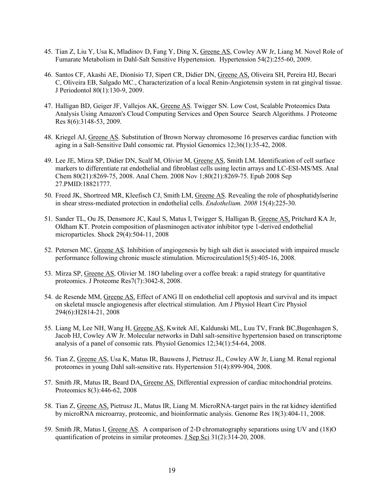- 45. Tian Z, Liu Y, Usa K, Mladinov D, Fang Y, Ding X, Greene AS, Cowley AW Jr, Liang M. Novel Role of Fumarate Metabolism in Dahl-Salt Sensitive Hypertension. Hypertension 54(2):255-60, 2009.
- 46. Santos CF, Akashi AE, Dionísio TJ, Sipert CR, Didier DN, Greene AS, Oliveira SH, Pereira HJ, Becari C, Oliveira EB, Salgado MC., Characterization of a local Renin-Angiotensin system in rat gingival tissue. J Periodontol 80(1):130-9, 2009.
- 47. Halligan BD, Geiger JF, Vallejos AK, Greene AS. Twigger SN. Low Cost, Scalable Proteomics Data Analysis Using Amazon's Cloud Computing Services and Open Source Search Algorithms. J Proteome Res 8(6):3148-53, 2009.
- 48. Kriegel AJ, Greene AS. Substitution of Brown Norway chromosome 16 preserves cardiac function with aging in a Salt-Sensitive Dahl consomic rat. Physiol Genomics 12;36(1):35-42, 2008.
- 49. Lee JE, Mirza SP, Didier DN, Scalf M, Olivier M, Greene AS, Smith LM. Identification of cell surface markers to differentiate rat endothelial and fibroblast cells using lectin arrays and LC-ESI-MS/MS. Anal Chem 80(21):8269-75, 2008. Anal Chem. 2008 Nov 1;80(21):8269-75. Epub 2008 Sep 27.PMID:18821777.
- 50. Freed JK, Shortreed MR, Kleefisch CJ, Smith LM, Greene AS. Revealing the role of phosphatidylserine in shear stress-mediated protection in endothelial cells. *Endothelium. 2008* 15(4):225-30.
- 51. Sander TL, Ou JS, Densmore JC, Kaul S, Matus I, Twigger S, Halligan B, Greene AS, Pritchard KA Jr, Oldham KT. Protein composition of plasminogen activator inhibitor type 1-derived endothelial microparticles. Shock 29(4):504-11, 2008
- 52. Petersen MC, Greene AS. Inhibition of angiogenesis by high salt diet is associated with impaired muscle performance following chronic muscle stimulation. Microcirculation15(5):405-16, 2008.
- 53. Mirza SP, Greene AS, Olivier M. 18O labeling over a coffee break: a rapid strategy for quantitative proteomics. J Proteome Res7(7):3042-8, 2008.
- 54. de Resende MM, Greene AS. Effect of ANG II on endothelial cell apoptosis and survival and its impact on skeletal muscle angiogenesis after electrical stimulation. Am J Physiol Heart Circ Physiol 294(6):H2814-21, 2008
- 55. Liang M, Lee NH, Wang H, Greene AS, Kwitek AE, Kaldunski ML, Luu TV, Frank BC,Bugenhagen S, Jacob HJ, Cowley AW Jr. Molecular networks in Dahl salt-sensitive hypertension based on transcriptome analysis of a panel of consomic rats. Physiol Genomics 12;34(1):54-64, 2008.
- 56. Tian Z, Greene AS, Usa K, Matus IR, Bauwens J, Pietrusz JL, Cowley AW Jr, Liang M. Renal regional proteomes in young Dahl salt-sensitive rats. Hypertension 51(4):899-904, 2008.
- 57. Smith JR, Matus IR, Beard DA, Greene AS. Differential expression of cardiac mitochondrial proteins. Proteomics 8(3):446-62, 2008
- 58. Tian Z, Greene AS, Pietrusz JL, Matus IR, Liang M. MicroRNA-target pairs in the rat kidney identified by microRNA microarray, proteomic, and bioinformatic analysis. Genome Res 18(3):404-11, 2008.
- 59. Smith JR, Matus I, Greene AS. A comparison of 2-D chromatography separations using UV and (18)O quantification of proteins in similar proteomes. J Sep Sci 31(2):314-20, 2008.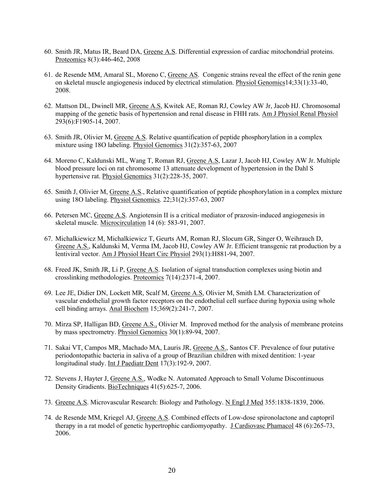- 60. Smith JR, Matus IR, Beard DA, Greene A.S. Differential expression of cardiac mitochondrial proteins. Proteomics 8(3):446-462, 2008
- 61. de Resende MM, Amaral SL, Moreno C, Greene AS. Congenic strains reveal the effect of the renin gene on skeletal muscle angiogenesis induced by electrical stimulation. Physiol Genomics14;33(1):33-40, 2008.
- 62. Mattson DL, Dwinell MR, Greene A.S, Kwitek AE, Roman RJ, Cowley AW Jr, Jacob HJ. Chromosomal mapping of the genetic basis of hypertension and renal disease in FHH rats. Am J Physiol Renal Physiol 293(6):F1905-14, 2007.
- 63. Smith JR, Olivier M, Greene A.S. Relative quantification of peptide phosphorylation in a complex mixture using 18O labeling. Physiol Genomics 31(2):357-63, 2007
- 64. Moreno C, Kaldunski ML, Wang T, Roman RJ, Greene A.S, Lazar J, Jacob HJ, Cowley AW Jr. Multiple blood pressure loci on rat chromosome 13 attenuate development of hypertension in the Dahl S hypertensive rat. Physiol Genomics 31(2):228-35, 2007.
- 65. Smith J, Olivier M, Greene A.S., Relative quantification of peptide phosphorylation in a complex mixture using 18O labeling. Physiol Genomics. 22;31(2):357-63, 2007
- 66. Petersen MC, Greene A.S. Angiotensin II is a critical mediator of prazosin-induced angiogenesis in skeletal muscle. Microcirculation 14 (6): 583-91, 2007.
- 67. Michalkiewicz M, Michalkiewicz T, Geurts AM, Roman RJ, Slocum GR, Singer O, Weihrauch D, Greene A.S., Kaldunski M, Verma IM, Jacob HJ, Cowley AW Jr. Efficient transgenic rat production by a lentiviral vector. Am J Physiol Heart Circ Physiol 293(1):H881-94, 2007.
- 68. Freed JK, Smith JR, Li P, Greene A.S. Isolation of signal transduction complexes using biotin and crosslinking methodologies. Proteomics 7(14):2371-4, 2007.
- 69. Lee JE, Didier DN, Lockett MR, Scalf M, Greene A.S, Olivier M, Smith LM. Characterization of vascular endothelial growth factor receptors on the endothelial cell surface during hypoxia using whole cell binding arrays. Anal Biochem 15;369(2):241-7, 2007.
- 70. Mirza SP, Halligan BD, Greene A.S., Olivier M. Improved method for the analysis of membrane proteins by mass spectrometry. Physiol Genomics 30(1):89-94, 2007.
- 71. Sakai VT, Campos MR, Machado MA, Lauris JR, Greene A.S., Santos CF. Prevalence of four putative periodontopathic bacteria in saliva of a group of Brazilian children with mixed dentition: 1-year longitudinal study. Int J Paediatr Dent 17(3):192-9, 2007.
- 72. Stevens J, Hayter J, Greene A.S., Wodke N. Automated Approach to Small Volume Discontinuous Density Gradients. BioTechniques 41(5):625-7, 2006.
- 73. Greene A.S. Microvascular Research: Biology and Pathology. N Engl J Med 355:1838-1839, 2006.
- 74. de Resende MM, Kriegel AJ, Greene A.S. Combined effects of Low-dose spironolactone and captopril therapy in a rat model of genetic hypertrophic cardiomyopathy. J Cardiovasc Phamacol 48 (6):265-73, 2006.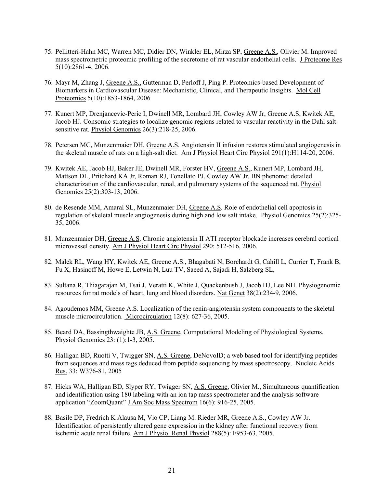- 75. Pellitteri-Hahn MC, Warren MC, Didier DN, Winkler EL, Mirza SP, Greene A.S., Olivier M. Improved mass spectrometric proteomic profiling of the secretome of rat vascular endothelial cells. J Proteome Res 5(10):2861-4, 2006.
- 76. Mayr M, Zhang J, Greene A.S., Gutterman D, Perloff J, Ping P. Proteomics-based Development of Biomarkers in Cardiovascular Disease: Mechanistic, Clinical, and Therapeutic Insights. Mol Cell Proteomics 5(10):1853-1864, 2006
- 77. Kunert MP, Drenjancevic-Peric I, Dwinell MR, Lombard JH, Cowley AW Jr, Greene A.S, Kwitek AE, Jacob HJ. Consomic strategies to localize genomic regions related to vascular reactivity in the Dahl saltsensitive rat. Physiol Genomics 26(3):218-25, 2006.
- 78. Petersen MC, Munzenmaier DH, Greene A.S. Angiotensin II infusion restores stimulated angiogenesis in the skeletal muscle of rats on a high-salt diet. Am J Physiol Heart Circ Physiol 291(1):H114-20, 2006.
- 79. Kwitek AE, Jacob HJ, Baker JE, Dwinell MR, Forster HV, Greene A.S., Kunert MP, Lombard JH, Mattson DL, Pritchard KA Jr, Roman RJ, Tonellato PJ, Cowley AW Jr. BN phenome: detailed characterization of the cardiovascular, renal, and pulmonary systems of the sequenced rat. Physiol Genomics 25(2):303-13, 2006.
- 80. de Resende MM, Amaral SL, Munzenmaier DH, Greene A.S. Role of endothelial cell apoptosis in regulation of skeletal muscle angiogenesis during high and low salt intake. Physiol Genomics 25(2):325- 35, 2006.
- 81. Munzenmaier DH, Greene A.S. Chronic angiotensin II ATI receptor blockade increases cerebral cortical microvessel density. Am J Physiol Heart Circ Physiol 290: 512-516, 2006.
- 82. Malek RL, Wang HY, Kwitek AE, Greene A.S., Bhagabati N, Borchardt G, Cahill L, Currier T, Frank B, Fu X, Hasinoff M, Howe E, Letwin N, Luu TV, Saeed A, Sajadi H, Salzberg SL,
- 83. Sultana R, Thiagarajan M, Tsai J, Veratti K, White J, Quackenbush J, Jacob HJ, Lee NH. Physiogenomic resources for rat models of heart, lung and blood disorders. Nat Genet 38(2):234-9, 2006.
- 84. Agoudemos MM, Greene A.S. Localization of the renin-angiotensin system components to the skeletal muscle microcirculation. Microcirculation 12(8): 627-36, 2005.
- 85. Beard DA, Bassingthwaighte JB, A.S. Greene, Computational Modeling of Physiological Systems. Physiol Genomics 23: (1):1-3, 2005.
- 86. Halligan BD, Ruotti V, Twigger SN, A.S. Greene, DeNovoID; a web based tool for identifying peptides from sequences and mass tags deduced from peptide sequencing by mass spectroscopy. Nucleic Acids Res. 33: W376-81, 2005
- 87. Hicks WA, Halligan BD, Slyper RY, Twigger SN, A.S. Greene, Olivier M., Simultaneous quantification and identification using 180 labeling with an ion tap mass spectrometer and the analysis software application "ZoomQuant" J Am Soc Mass Spectrom 16(6): 916-25, 2005.
- 88. Basile DP, Fredrich K Alausa M, Vio CP, Liang M. Rieder MR, Greene A.S., Cowley AW Jr. Identification of persistently altered gene expression in the kidney after functional recovery from ischemic acute renal failure. Am J Physiol Renal Physiol 288(5): F953-63, 2005.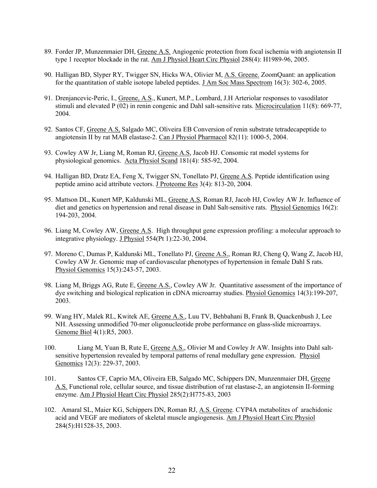- 89. Forder JP, Munzenmaier DH, Greene A.S. Angiogenic protection from focal ischemia with angiotensin II type 1 receptor blockade in the rat. Am J Physiol Heart Circ Physiol 288(4): H1989-96, 2005.
- 90. Halligan BD, Slyper RY, Twigger SN, Hicks WA, Olivier M, A.S. Greene. ZoomQuant: an application for the quantitation of stable isotope labeled peptides. J Am Soc Mass Spectrom 16(3): 302-6, 2005.
- 91. Drenjancevic-Peric, I., Greene, A.S., Kunert, M.P., Lombard, J.H Arteriolar responses to vasodilator stimuli and elevated P (02) in renin congenic and Dahl salt-sensitive rats. Microcirculation 11(8): 669-77, 2004.
- 92. Santos CF, Greene A.S, Salgado MC, Oliveira EB Conversion of renin substrate tetradecapeptide to angiotensin II by rat MAB elastase-2. Can J Physiol Pharmacol 82(11): 1000-5, 2004.
- 93. Cowley AW Jr, Liang M, Roman RJ, Greene A.S, Jacob HJ. Consomic rat model systems for physiological genomics. Acta Physiol Scand 181(4): 585-92, 2004.
- 94. Halligan BD, Dratz EA, Feng X, Twigger SN, Tonellato PJ, Greene A.S. Peptide identification using peptide amino acid attribute vectors. J Proteome Res 3(4): 813-20, 2004.
- 95. Mattson DL, Kunert MP, Kaldunski ML, Greene A.S, Roman RJ, Jacob HJ, Cowley AW Jr. Influence of diet and genetics on hypertension and renal disease in Dahl Salt-sensitive rats. Physiol Genomics 16(2): 194-203, 2004.
- 96. Liang M, Cowley AW, Greene A.S. High throughput gene expression profiling: a molecular approach to integrative physiology. J Physiol 554(Pt 1):22-30, 2004.
- 97. Moreno C, Dumas P, Kaldunski ML, Tonellato PJ, Greene A.S., Roman RJ, Cheng Q, Wang Z, Jacob HJ, Cowley AW Jr. Genomic map of cardiovascular phenotypes of hypertension in female Dahl S rats. Physiol Genomics 15(3):243-57, 2003.
- 98. Liang M, Briggs AG, Rute E, Greene A.S., Cowley AW Jr. Quantitative assessment of the importance of dye switching and biological replication in cDNA microarray studies. Physiol Genomics 14(3):199-207, 2003.
- 99. Wang HY, Malek RL, Kwitek AE, Greene A.S., Luu TV, Behbahani B, Frank B, Quackenbush J, Lee NH. Assessing unmodified 70-mer oligonucleotide probe performance on glass-slide microarrays. Genome Biol 4(1):R5, 2003.
- 100. Liang M, Yuan B, Rute E, Greene A.S., Olivier M and Cowley Jr AW. Insights into Dahl saltsensitive hypertension revealed by temporal patterns of renal medullary gene expression. Physiol Genomics 12(3): 229-37, 2003.
- 101. Santos CF, Caprio MA, Oliveira EB, Salgado MC, Schippers DN, Munzenmaier DH, Greene A.S. Functional role, cellular source, and tissue distribution of rat elastase-2, an angiotensin II-forming enzyme. Am J Physiol Heart Circ Physiol 285(2):H775-83, 2003
- 102. Amaral SL, Maier KG, Schippers DN, Roman RJ, A.S. Greene. CYP4A metabolites of arachidonic acid and VEGF are mediators of skeletal muscle angiogenesis. Am J Physiol Heart Circ Physiol 284(5):H1528-35, 2003.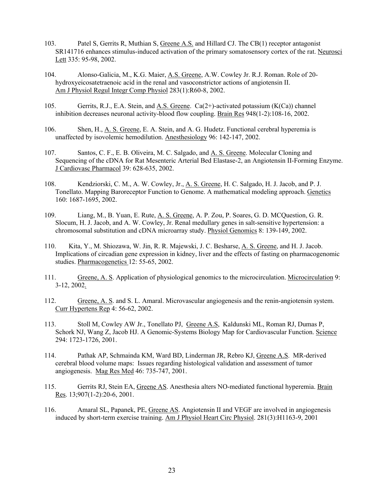- 103. Patel S, Gerrits R, Muthian S, Greene A.S. and Hillard CJ. The CB(1) receptor antagonist SR141716 enhances stimulus-induced activation of the primary somatosensory cortex of the rat. Neurosci Lett 335: 95-98, 2002.
- 104. Alonso-Galicia, M., K.G. Maier, A.S. Greene, A.W. Cowley Jr. R.J. Roman. Role of 20 hydroxyeicosatetraenoic acid in the renal and vasoconstrictor actions of angiotensin II. Am J Physiol Regul Integr Comp Physiol 283(1):R60-8, 2002.
- 105. Gerrits, R.J., E.A. Stein, and A.S. Greene. Ca(2+)-activated potassium (K(Ca)) channel inhibition decreases neuronal activity-blood flow coupling. Brain Res 948(1-2):108-16, 2002.
- 106. Shen, H., A. S. Greene, E. A. Stein, and A. G. Hudetz. Functional cerebral hyperemia is unaffected by isovolemic hemodilution. Anesthesiology 96: 142-147, 2002.
- 107. Santos, C. F., E. B. Oliveira, M. C. Salgado, and A. S. Greene. Molecular Cloning and Sequencing of the cDNA for Rat Mesenteric Arterial Bed Elastase-2, an Angiotensin II-Forming Enzyme. J Cardiovasc Pharmacol 39: 628-635, 2002.
- 108. Kendziorski, C. M., A. W. Cowley, Jr., A. S. Greene, H. C. Salgado, H. J. Jacob, and P. J. Tonellato. Mapping Baroreceptor Function to Genome. A mathematical modeling approach. Genetics 160: 1687-1695, 2002.
- 109. Liang, M., B. Yuan, E. Rute, A. S. Greene, A. P. Zou, P. Soares, G. D. MCQuestion, G. R. Slocum, H. J. Jacob, and A. W. Cowley, Jr. Renal medullary genes in salt-sensitive hypertension: a chromosomal substitution and cDNA microarray study. Physiol Genomics 8: 139-149, 2002.
- 110. Kita, Y., M. Shiozawa, W. Jin, R. R. Majewski, J. C. Besharse, A. S. Greene, and H. J. Jacob. Implications of circadian gene expression in kidney, liver and the effects of fasting on pharmacogenomic studies. Pharmacogenetics 12: 55-65, 2002.
- 111. Greene, A. S. Application of physiological genomics to the microcirculation. Microcirculation 9: 3-12, 2002.
- 112. Greene, A. S. and S. L. Amaral. Microvascular angiogenesis and the renin-angiotensin system. Curr Hypertens Rep 4: 56-62, 2002.
- 113. Stoll M, Cowley AW Jr., Tonellato PJ, Greene A.S, Kaldunski ML, Roman RJ, Dumas P, Schork NJ, Wang Z, Jacob HJ. A Genomic-Systems Biology Map for Cardiovascular Function. Science 294: 1723-1726, 2001.
- 114. Pathak AP, Schmainda KM, Ward BD, Linderman JR, Rebro KJ, Greene A.S. MR-derived cerebral blood volume maps: Issues regarding histological validation and assessment of tumor angiogenesis. Mag Res Med 46: 735-747, 2001.
- 115. Gerrits RJ, Stein EA, Greene AS. Anesthesia alters NO-mediated functional hyperemia. Brain Res. 13;907(1-2):20-6, 2001.
- 116. Amaral SL, Papanek, PE, Greene AS. Angiotensin II and VEGF are involved in angiogenesis induced by short-term exercise training. Am J Physiol Heart Circ Physiol. 281(3):H1163-9, 2001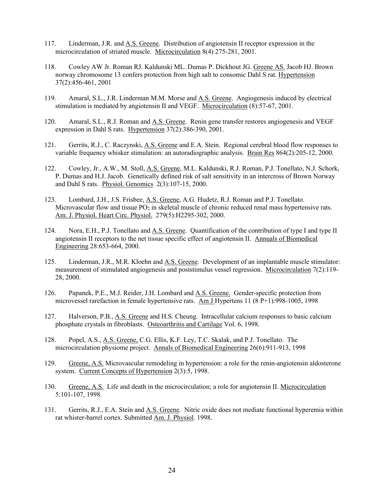- 117. Linderman, J.R. and A.S. Greene. Distribution of angiotensin II receptor expression in the microcirculation of striated muscle. Microcirculation 8(4) 275-281, 2001.
- 118. Cowley AW Jr. Roman RJ. Kaldunski ML. Dumas P. Dickhout JG. Greene AS. Jacob HJ. Brown norway chromosome 13 confers protection from high salt to consomic Dahl S rat. Hypertension 37(2):456-461, 2001
- 119. Amaral, S.L., J.R. Linderman M.M. Morse and A.S. Greene. Angiogenesis induced by electrical stimulation is mediated by angiotensin II and VEGF. Microcirculation (8):57-67, 2001.
- 120. Amaral, S.L., R.J. Roman and A.S. Greene. Renin gene transfer restores angiogenesis and VEGF expression in Dahl S rats. Hypertension 37(2):386-390, 2001.
- 121. Gerrits, R.J., C. Raczynski, A.S. Greene and E.A. Stein. Regional cerebral blood flow responses to variable frequency whisker stimulation: an autoradiographic analysis. Brain Res 864(2):205-12, 2000.
- 122. Cowley, Jr., A.W., M. Stoll, A.S. Greene, M.L. Kaldunski, R.J. Roman, P.J. Tonellato, N.J. Schork, P. Dumas and H.J. Jacob. Genetically defined risk of salt sensitivity in an intercross of Brown Norway and Dahl S rats. Physiol. Genomics 2(3):107-15, 2000.
- 123. Lombard, J.H., J.S. Frisbee, A.S. Greene, A.G. Hudetz, R.J. Roman and P.J. Tonellato. Microvascular flow and tissue  $PO_2$  in skeletal muscle of chronic reduced renal mass hypertensive rats. Am. J. Physiol. Heart Circ. Physiol. 279(5):H2295-302, 2000.
- 124. Nora, E.H., P.J. Tonellato and A.S. Greene. Quantification of the contribution of type I and type II angiotensin II receptors to the net tissue specific effect of angiotensin II. Annuals of Biomedical Engineering 28:653-664, 2000.
- 125. Linderman, J.R., M.R. Kloehn and A.S. Greene. Development of an implantable muscle stimulator: measurement of stimulated angiogenesis and poststimulus vessel regression. Microcirculation 7(2):119- 28, 2000.
- 126. Papanek, P.E., M.J. Reider, J.H. Lombard and A.S. Greene. Gender-specific protection from microvessel rarefaction in female hypertensive rats. Am J Hypertens 11 (8 P+1):998-1005, 1998
- 127. Halverson, P.B., A.S. Greene and H.S. Cheung. Intracellular calcium responses to basic calcium phosphate crystals in fibroblasts. Osteoarthritis and Cartilage Vol. 6, 1998.
- 128. Popel, A.S., A.S. Greene, C.G. Ellis, K.F. Ley, T.C. Skalak, and P.J. Tonellato. The microcirculation physiome project. Annals of Biomedical Engineering 26(6):911-913, 1998
- 129. Greene, A.S. Microvascular remodeling in hypertension: a role for the renin-angiotensin aldosterone system. Current Concepts of Hypertension 2(3):5, 1998.
- 130. Greene, A.S. Life and death in the microcirculation; a role for angiotensin II. Microcirculation 5:101-107, 1998.
- 131. Gerrits, R.J., E.A. Stein and A.S. Greene. Nitric oxide does not mediate functional hyperemia within rat whister-barrel cortex. Submitted Am. J. Physiol. 1998.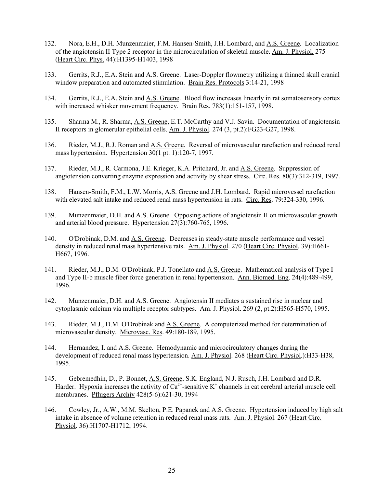- 132. Nora, E.H., D.H. Munzenmaier, F.M. Hansen-Smith, J.H. Lombard, and A.S. Greene. Localization of the angiotensin II Type 2 receptor in the microcirculation of skeletal muscle. Am. J. Physiol. 275 (Heart Circ. Phys. 44):H1395-H1403, 1998
- 133. Gerrits, R.J., E.A. Stein and A.S. Greene. Laser-Doppler flowmetry utilizing a thinned skull cranial window preparation and automated stimulation. Brain Res. Protocols 3:14-21, 1998
- 134. Gerrits, R.J., E.A. Stein and A.S. Greene. Blood flow increases linearly in rat somatosensory cortex with increased whisker movement frequency. Brain Res. 783(1):151-157, 1998.
- 135. Sharma M., R. Sharma, A.S. Greene, E.T. McCarthy and V.J. Savin. Documentation of angiotensin II receptors in glomerular epithelial cells. Am. J. Physiol. 274 (3, pt.2):FG23-G27, 1998.
- 136. Rieder, M.J., R.J. Roman and A.S. Greene. Reversal of microvascular rarefaction and reduced renal mass hypertension. Hypertension 30(1 pt. 1):120-7, 1997.
- 137. Rieder, M.J., R. Carmona, J.E. Krieger, K.A. Pritchard, Jr. and A.S. Greene. Suppression of angiotension converting enzyme expression and activity by shear stress. Circ. Res. 80(3):312-319, 1997.
- 138. Hansen-Smith, F.M., L.W. Morris, A.S. Greene and J.H. Lombard. Rapid microvessel rarefaction with elevated salt intake and reduced renal mass hypertension in rats. Circ. Res. 79:324-330, 1996.
- 139. Munzenmaier, D.H. and A.S. Greene. Opposing actions of angiotensin II on microvascular growth and arterial blood pressure. Hypertension 27(3):760-765, 1996.
- 140. O'Drobinak, D.M. and A.S. Greene. Decreases in steady-state muscle performance and vessel density in reduced renal mass hypertensive rats. Am. J. Physiol. 270 (Heart Circ. Physiol. 39):H661- H667, 1996.
- 141. Rieder, M.J., D.M. O'Drobinak, P.J. Tonellato and A.S. Greene. Mathematical analysis of Type I and Type II-b muscle fiber force generation in renal hypertension. Ann. Biomed. Eng. 24(4):489-499, 1996.
- 142. Munzenmaier, D.H. and <u>A.S. Greene</u>. Angiotensin II mediates a sustained rise in nuclear and cytoplasmic calcium via multiple receptor subtypes. Am. J. Physiol. 269 (2, pt.2):H565-H570, 1995.
- 143. Rieder, M.J., D.M. O'Drobinak and A.S. Greene. A computerized method for determination of microvascular density. Microvasc. Res. 49:180-189, 1995.
- 144. Hernandez, I. and A.S. Greene. Hemodynamic and microcirculatory changes during the development of reduced renal mass hypertension. Am. J. Physiol. 268 (Heart Circ. Physiol.):H33-H38, 1995.
- 145. Gebremedhin, D., P. Bonnet, A.S. Greene, S.K. England, N.J. Rusch, J.H. Lombard and D.R. Harder. Hypoxia increases the activity of  $Ca^{2+}$ -sensitive  $K^+$  channels in cat cerebral arterial muscle cell membranes. Pflugers Archiv 428(5-6):621-30, 1994
- 146. Cowley, Jr., A.W., M.M. Skelton, P.E. Papanek and A.S. Greene. Hypertension induced by high salt intake in absence of volume retention in reduced renal mass rats. Am. J. Physiol. 267 (Heart Circ. Physiol. 36):H1707-H1712, 1994.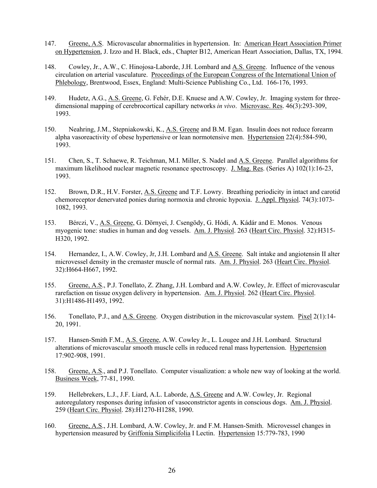- 147. Greene, A.S. Microvascular abnormalities in hypertension. In: American Heart Association Primer on Hypertension, J. Izzo and H. Black, eds., Chapter B12, American Heart Association, Dallas, TX, 1994.
- 148. Cowley, Jr., A.W., C. Hinojosa-Laborde, J.H. Lombard and A.S. Greene. Influence of the venous circulation on arterial vasculature. Proceedings of the European Congress of the International Union of Phlebology, Brentwood, Essex, England: Multi-Science Publishing Co., Ltd. 166-176, 1993.
- 149. Hudetz, A.G., A.S. Greene, G. Fehér, D.E. Knuese and A.W. Cowley, Jr. Imaging system for threedimensional mapping of cerebrocortical capillary networks *in vivo*. Microvasc. Res. 46(3):293-309, 1993.
- 150. Neahring, J.M., Stepniakowski, K., A.S. Greene and B.M. Egan. Insulin does not reduce forearm alpha vasoreactivity of obese hypertensive or lean normotensive men. Hypertension 22(4):584-590, 1993.
- 151. Chen, S., T. Schaewe, R. Teichman, M.I. Miller, S. Nadel and A.S. Greene. Parallel algorithms for maximum likelihood nuclear magnetic resonance spectroscopy. J. Mag. Res. (Series A) 102(1):16-23, 1993.
- 152. Brown, D.R., H.V. Forster, A.S. Greene and T.F. Lowry. Breathing periodicity in intact and carotid chemoreceptor denervated ponies during normoxia and chronic hypoxia. J. Appl. Physiol. 74(3):1073- 1082, 1993.
- 153. Bérczi, V., A.S. Greene, G. Dörnyei, J. Csengödy, G. Hódi, A. Kádár and E. Monos. Venous myogenic tone: studies in human and dog vessels. Am. J. Physiol. 263 (Heart Circ. Physiol. 32):H315- H320, 1992.
- 154. Hernandez, I., A.W. Cowley, Jr, J.H. Lombard and A.S. Greene. Salt intake and angiotensin II alter microvessel density in the cremaster muscle of normal rats. Am. J. Physiol. 263 (Heart Circ. Physiol. 32):H664-H667, 1992.
- 155. Greene, A.S., P.J. Tonellato, Z. Zhang, J.H. Lombard and A.W. Cowley, Jr. Effect of microvascular rarefaction on tissue oxygen delivery in hypertension. Am. J. Physiol. 262 (Heart Circ. Physiol. 31):H1486-H1493, 1992.
- 156. Tonellato, P.J., and A.S. Greene. Oxygen distribution in the microvascular system. Pixel 2(1):14- 20, 1991.
- 157. Hansen-Smith F.M., A.S. Greene, A.W. Cowley Jr., L. Lougee and J.H. Lombard. Structural alterations of microvascular smooth muscle cells in reduced renal mass hypertension. Hypertension 17:902-908, 1991.
- 158. Greene, A.S., and P.J. Tonellato. Computer visualization: a whole new way of looking at the world. Business Week, 77-81, 1990.
- 159. Hellebrekers, L.J., J.F. Liard, A.L. Laborde, A.S. Greene and A.W. Cowley, Jr. Regional autoregulatory responses during infusion of vasoconstrictor agents in conscious dogs. Am. J. Physiol. 259 (Heart Circ. Physiol. 28):H1270-H1288, 1990.
- 160. Greene, A.S., J.H. Lombard, A.W. Cowley, Jr. and F.M. Hansen-Smith. Microvessel changes in hypertension measured by Griffonia Simplicifolia I Lectin. Hypertension 15:779-783, 1990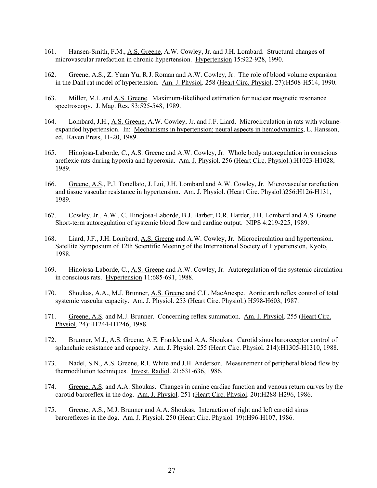- 161. Hansen-Smith, F.M., A.S. Greene, A.W. Cowley, Jr. and J.H. Lombard. Structural changes of microvascular rarefaction in chronic hypertension. Hypertension 15:922-928, 1990.
- 162. Greene, A.S., Z. Yuan Yu, R.J. Roman and A.W. Cowley, Jr. The role of blood volume expansion in the Dahl rat model of hypertension. Am. J. Physiol. 258 (Heart Circ. Physiol. 27):H508-H514, 1990.
- 163. Miller, M.I. and A.S. Greene. Maximum-likelihood estimation for nuclear magnetic resonance spectroscopy. J. Mag. Res. 83:525-548, 1989.
- 164. Lombard, J.H., A.S. Greene, A.W. Cowley, Jr. and J.F. Liard. Microcirculation in rats with volumeexpanded hypertension. In: Mechanisms in hypertension; neural aspects in hemodynamics, L. Hansson, ed. Raven Press, 11-20, 1989.
- 165. Hinojosa-Laborde, C., A.S. Greene and A.W. Cowley, Jr. Whole body autoregulation in conscious areflexic rats during hypoxia and hyperoxia. Am. J. Physiol. 256 (Heart Circ. Physiol.):H1023-H1028, 1989.
- 166. Greene, A.S., P.J. Tonellato, J. Lui, J.H. Lombard and A.W. Cowley, Jr. Microvascular rarefaction and tissue vascular resistance in hypertension. Am. J. Physiol. (Heart Circ. Physiol.)256:H126-H131, 1989.
- 167. Cowley, Jr., A.W., C. Hinojosa-Laborde, B.J. Barber, D.R. Harder, J.H. Lombard and A.S. Greene. Short-term autoregulation of systemic blood flow and cardiac output. NIPS 4:219-225, 1989.
- 168. Liard, J.F., J.H. Lombard, A.S. Greene and A.W. Cowley, Jr. Microcirculation and hypertension. Satellite Symposium of 12th Scientific Meeting of the International Society of Hypertension, Kyoto, 1988.
- 169. Hinojosa-Laborde, C., A.S. Greene and A.W. Cowley, Jr. Autoregulation of the systemic circulation in conscious rats. Hypertension 11:685-691, 1988.
- 170. Shoukas, A.A., M.J. Brunner, A.S. Greene and C.L. MacAnespe. Aortic arch reflex control of total systemic vascular capacity. Am. J. Physiol. 253 (Heart Circ. Physiol.):H598-H603, 1987.
- 171. Greene, A.S. and M.J. Brunner. Concerning reflex summation. Am. J. Physiol. 255 (Heart Circ. Physiol. 24):H1244-H1246, 1988.
- 172. Brunner, M.J., A.S. Greene, A.E. Frankle and A.A. Shoukas. Carotid sinus baroreceptor control of splanchnic resistance and capacity. Am. J. Physiol. 255 (Heart Circ. Physiol. 214):H1305-H1310, 1988.
- 173. Nadel, S.N., A.S. Greene, R.I. White and J.H. Anderson. Measurement of peripheral blood flow by thermodilution techniques. Invest. Radiol. 21:631-636, 1986.
- 174. Greene, A.S. and A.A. Shoukas. Changes in canine cardiac function and venous return curves by the carotid baroreflex in the dog. Am. J. Physiol. 251 (Heart Circ. Physiol. 20):H288-H296, 1986.
- 175. Greene, A.S., M.J. Brunner and A.A. Shoukas. Interaction of right and left carotid sinus baroreflexes in the dog. Am. J. Physiol. 250 (Heart Circ. Physiol. 19):H96-H107, 1986.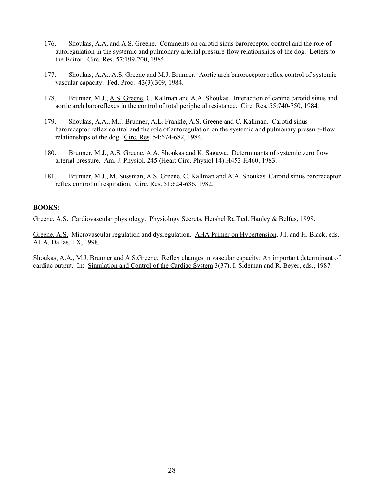- 176. Shoukas, A.A. and A.S. Greene. Comments on carotid sinus baroreceptor control and the role of autoregulation in the systemic and pulmonary arterial pressure-flow relationships of the dog. Letters to the Editor. Circ. Res. 57:199-200, 1985.
- 177. Shoukas, A.A., A.S. Greene and M.J. Brunner. Aortic arch baroreceptor reflex control of systemic vascular capacity. Fed. Proc. 43(3):309, 1984.
- 178. Brunner, M.J., A.S. Greene, C. Kallman and A.A. Shoukas. Interaction of canine carotid sinus and aortic arch baroreflexes in the control of total peripheral resistance. Circ. Res. 55:740-750, 1984.
- 179. Shoukas, A.A., M.J. Brunner, A.L. Frankle, A.S. Greene and C. Kallman. Carotid sinus baroreceptor reflex control and the role of autoregulation on the systemic and pulmonary pressure-flow relationships of the dog. Circ. Res. 54:674-682, 1984.
- 180. Brunner, M.J., A.S. Greene, A.A. Shoukas and K. Sagawa. Determinants of systemic zero flow arterial pressure. Am. J. Physiol. 245 (Heart Circ. Physiol.14):H453-H460, 1983.
- 181. Brunner, M.J., M. Sussman, A.S. Greene, C. Kallman and A.A. Shoukas. Carotid sinus baroreceptor reflex control of respiration. Circ. Res. 51:624-636, 1982.

#### **BOOKS:**

Greene, A.S. Cardiovascular physiology. Physiology Secrets, Hershel Raff ed. Hanley & Belfus, 1998.

Greene, A.S. Microvascular regulation and dysregulation. AHA Primer on Hypertension, J.I. and H. Black, eds. AHA, Dallas, TX, 1998.

Shoukas, A.A., M.J. Brunner and A.S.Greene. Reflex changes in vascular capacity: An important determinant of cardiac output. In: Simulation and Control of the Cardiac System 3(37), I. Sideman and R. Beyer, eds., 1987.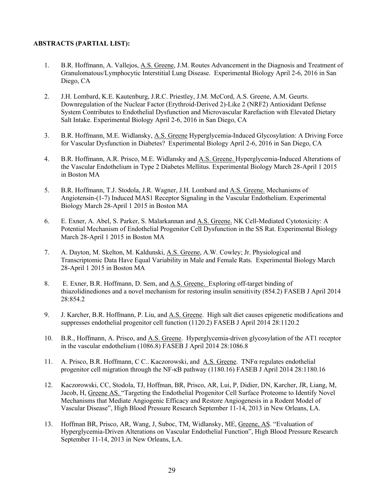#### **ABSTRACTS (PARTIAL LIST):**

- 1. B.R. Hoffmann, A. Vallejos, A.S. Greene, J.M. Routes Advancement in the Diagnosis and Treatment of Granulomatous/Lymphocytic Interstitial Lung Disease. Experimental Biology April 2-6, 2016 in San Diego, CA
- 2. J.H. Lombard, K.E. Kautenburg, J.R.C. Priestley, J.M. McCord, A.S. Greene, A.M. Geurts. Downregulation of the Nuclear Factor (Erythroid-Derived 2)-Like 2 (NRF2) Antioxidant Defense System Contributes to Endothelial Dysfunction and Microvascular Rarefaction with Elevated Dietary Salt Intake. Experimental Biology April 2-6, 2016 in San Diego, CA
- 3. B.R. Hoffmann, M.E. Widlansky, A.S. Greene Hyperglycemia-Induced Glycosylation: A Driving Force for Vascular Dysfunction in Diabetes? Experimental Biology April 2-6, 2016 in San Diego, CA
- 4. B.R. Hoffmann, A.R. Prisco, M.E. Widlansky and A.S. Greene. Hyperglycemia-Induced Alterations of the Vascular Endothelium in Type 2 Diabetes Mellitus. Experimental Biology March 28-April 1 2015 in Boston MA
- 5. B.R. Hoffmann, T.J. Stodola, J.R. Wagner, J.H. Lombard and A.S. Greene. Mechanisms of Angiotensin-(1-7) Induced MAS1 Receptor Signaling in the Vascular Endothelium. Experimental Biology March 28-April 1 2015 in Boston MA
- 6. E. Exner, A. Abel, S. Parker, S. Malarkannan and A.S. Greene. NK Cell-Mediated Cytotoxicity: A Potential Mechanism of Endothelial Progenitor Cell Dysfunction in the SS Rat. Experimental Biology March 28-April 1 2015 in Boston MA
- 7. A. Dayton, M. Skelton, M. Kaldunski, A.S. Greene, A.W. Cowley; Jr. Physiological and Transcriptomic Data Have Equal Variability in Male and Female Rats. Experimental Biology March 28-April 1 2015 in Boston MA
- 8. E. Exner, B.R. Hoffmann, D. Sem, and A.S. Greene. Exploring off-target binding of thiazolidinediones and a novel mechanism for restoring insulin sensitivity (854.2) FASEB J April 2014 28:854.2
- 9. J. Karcher, B.R. Hoffmann, P. Liu, and A.S. Greene. High salt diet causes epigenetic modifications and suppresses endothelial progenitor cell function (1120.2) FASEB J April 2014 28:1120.2
- 10. B.R., Hoffmann, A. Prisco, and A.S. Greene. Hyperglycemia-driven glycosylation of the AT1 receptor in the vascular endothelium (1086.8) FASEB J April 2014 28:1086.8
- 11. A. Prisco, B.R. Hoffmann, C C.. Kaczorowski, and A.S. Greene. TNFα regulates endothelial progenitor cell migration through the NF-κB pathway (1180.16) FASEB J April 2014 28:1180.16
- 12. Kaczorowski, CC, Stodola, TJ, Hoffman, BR, Prisco, AR, Lui, P, Didier, DN, Karcher, JR, Liang, M, Jacob, H, Greene AS. "Targeting the Endothelial Progenitor Cell Surface Proteome to Identify Novel Mechanisms that Mediate Angiogenic Efficacy and Restore Angiogenesis in a Rodent Model of Vascular Disease", High Blood Pressure Research September 11-14, 2013 in New Orleans, LA.
- 13. Hoffman BR, Prisco, AR, Wang, J, Suboc, TM, Widlansky, ME, Greene, AS. "Evaluation of Hyperglycemia-Driven Alterations on Vascular Endothelial Function", High Blood Pressure Research September 11-14, 2013 in New Orleans, LA.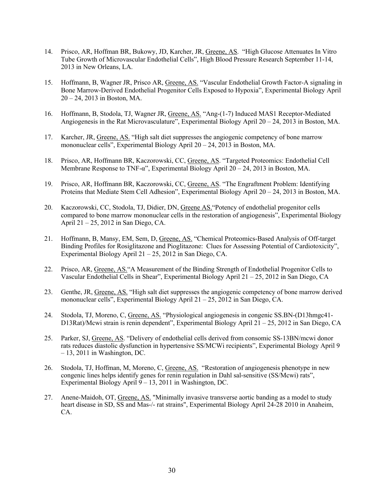- 14. Prisco, AR, Hoffman BR, Bukowy, JD, Karcher, JR, Greene, AS. "High Glucose Attenuates In Vitro Tube Growth of Microvascular Endothelial Cells", High Blood Pressure Research September 11-14, 2013 in New Orleans, LA.
- 15. Hoffmann, B, Wagner JR, Prisco AR, Greene, AS. "Vascular Endothelial Growth Factor-A signaling in Bone Marrow-Derived Endothelial Progenitor Cells Exposed to Hypoxia", Experimental Biology April 20 – 24, 2013 in Boston, MA.
- 16. Hoffmann, B, Stodola, TJ, Wagner JR, Greene, AS. "Ang-(1-7) Induced MAS1 Receptor-Mediated Angiogenesis in the Rat Microvasculature", Experimental Biology April 20 – 24, 2013 in Boston, MA.
- 17. Karcher, JR, Greene, AS. "High salt diet suppresses the angiogenic competency of bone marrow mononuclear cells", Experimental Biology April 20 – 24, 2013 in Boston, MA.
- 18. Prisco, AR, Hoffmann BR, Kaczorowski, CC, Greene, AS. "Targeted Proteomics: Endothelial Cell Membrane Response to TNF-α", Experimental Biology April 20 – 24, 2013 in Boston, MA.
- 19. Prisco, AR, Hoffmann BR, Kaczorowski, CC, Greene, AS. "The Engraftment Problem: Identifying Proteins that Mediate Stem Cell Adhesion", Experimental Biology April 20 – 24, 2013 in Boston, MA.
- 20. Kaczorowski, CC, Stodola, TJ, Didier, DN, Greene AS."Potency of endothelial progenitor cells compared to bone marrow mononuclear cells in the restoration of angiogenesis", Experimental Biology April 21 – 25, 2012 in San Diego, CA.
- 21. Hoffmann, B, Mansy, EM, Sem, D, Greene, AS. "Chemical Proteomics-Based Analysis of Off-target Binding Profiles for Rosiglitazone and Pioglitazone: Clues for Assessing Potential of Cardiotoxicity", Experimental Biology April 21 – 25, 2012 in San Diego, CA.
- 22. Prisco, AR, Greene, AS."A Measurement of the Binding Strength of Endothelial Progenitor Cells to Vascular Endothelial Cells in Shear", Experimental Biology April 21 – 25, 2012 in San Diego, CA
- 23. Genthe, JR, Greene, AS. "High salt diet suppresses the angiogenic competency of bone marrow derived mononuclear cells", Experimental Biology April 21 – 25, 2012 in San Diego, CA.
- 24. Stodola, TJ, Moreno, C, Greene, AS. "Physiological angiogenesis in congenic SS.BN-(D13hmgc41- D13Rat)/Mcwi strain is renin dependent", Experimental Biology April 21 – 25, 2012 in San Diego, CA
- 25. Parker, SJ, Greene, AS. "Delivery of endothelial cells derived from consomic SS-13BN/mcwi donor rats reduces diastolic dysfunction in hypertensive SS/MCWi recipients", Experimental Biology April 9  $-13$ , 2011 in Washington, DC.
- 26. Stodola, TJ, Hoffman, M, Moreno, C, Greene, AS. "Restoration of angiogenesis phenotype in new congenic lines helps identify genes for renin regulation in Dahl sal-sensitive (SS/Mcwi) rats", Experimental Biology April 9 – 13, 2011 in Washington, DC.
- 27. Anene-Maidoh, OT, Greene, AS. "Minimally invasive transverse aortic banding as a model to study heart disease in SD, SS and Mas-/- rat strains", Experimental Biology April 24-28 2010 in Anaheim, CA.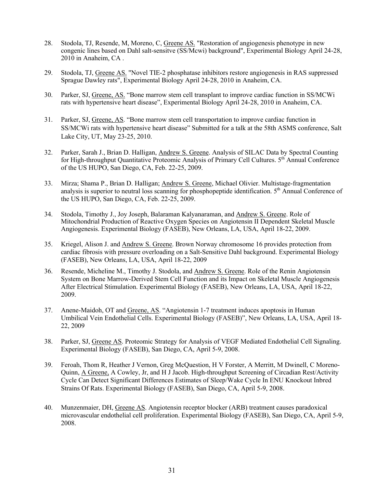- 28. Stodola, TJ, Resende, M, Moreno, C, Greene AS. "Restoration of angiogenesis phenotype in new congenic lines based on Dahl salt-sensitve (SS/Mcwi) background", Experimental Biology April 24-28, 2010 in Anaheim, CA .
- 29. Stodola, TJ, Greene AS. "Novel TIE-2 phosphatase inhibitors restore angiogenesis in RAS suppressed Sprague Dawley rats", Experimental Biology April 24-28, 2010 in Anaheim, CA.
- 30. Parker, SJ, Greene, AS. "Bone marrow stem cell transplant to improve cardiac function in SS/MCWi rats with hypertensive heart disease", Experimental Biology April 24-28, 2010 in Anaheim, CA.
- 31. Parker, SJ, Greene, AS. "Bone marrow stem cell transportation to improve cardiac function in SS/MCWi rats with hypertensive heart disease" Submitted for a talk at the 58th ASMS conference, Salt Lake City, UT, May 23-25, 2010.
- 32. Parker, Sarah J., Brian D. Halligan, Andrew S. Greene. Analysis of SILAC Data by Spectral Counting for High-throughput Quantitative Proteomic Analysis of Primary Cell Cultures. 5<sup>th</sup> Annual Conference of the US HUPO, San Diego, CA, Feb. 22-25, 2009.
- 33. Mirza; Shama P., Brian D. Halligan; Andrew S. Greene, Michael Olivier. Multistage-fragmentation analysis is superior to neutral loss scanning for phosphopeptide identification. 5<sup>th</sup> Annual Conference of the US HUPO, San Diego, CA, Feb. 22-25, 2009.
- 34. Stodola, Timothy J., Joy Joseph, Balaraman Kalyanaraman, and Andrew S. Greene. Role of Mitochondrial Production of Reactive Oxygen Species on Angiotensin II Dependent Skeletal Muscle Angiogenesis. Experimental Biology (FASEB), New Orleans, LA, USA, April 18-22, 2009.
- 35. Kriegel, Alison J. and Andrew S. Greene. Brown Norway chromosome 16 provides protection from cardiac fibrosis with pressure overloading on a Salt-Sensitive Dahl background. Experimental Biology (FASEB), New Orleans, LA, USA, April 18-22, 2009
- 36. Resende, Micheline M., Timothy J. Stodola, and Andrew S. Greene. Role of the Renin Angiotensin System on Bone Marrow-Derived Stem Cell Function and its Impact on Skeletal Muscle Angiogenesis After Electrical Stimulation. Experimental Biology (FASEB), New Orleans, LA, USA, April 18-22, 2009.
- 37. Anene-Maidoh, OT and Greene, AS. "Angiotensin 1-7 treatment induces apoptosis in Human Umbilical Vein Endothelial Cells. Experimental Biology (FASEB)", New Orleans, LA, USA, April 18- 22, 2009
- 38. Parker, SJ, Greene AS. Proteomic Strategy for Analysis of VEGF Mediated Endothelial Cell Signaling. Experimental Biology (FASEB), San Diego, CA, April 5-9, 2008.
- 39. Feroah, Thom R, Heather J Vernon, Greg McQuestion, H V Forster, A Merritt, M Dwinell, C Moreno-Quinn, A Greene, A Cowley, Jr, and H J Jacob. High-throughput Screening of Circadian Rest/Activity Cycle Can Detect Significant Differences Estimates of Sleep/Wake Cycle In ENU Knockout Inbred Strains Of Rats. Experimental Biology (FASEB), San Diego, CA, April 5-9, 2008.
- 40. Munzenmaier, DH, Greene AS. Angiotensin receptor blocker (ARB) treatment causes paradoxical microvascular endothelial cell proliferation. Experimental Biology (FASEB), San Diego, CA, April 5-9, 2008.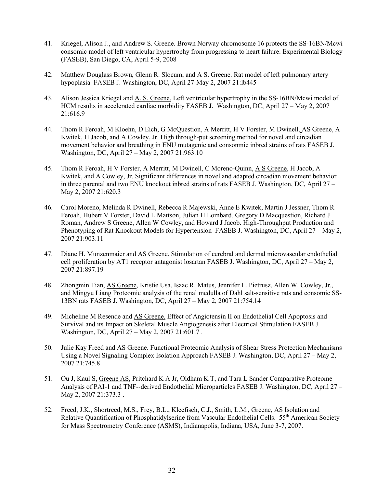- 41. Kriegel, Alison J., and Andrew S. Greene. Brown Norway chromosome 16 protects the SS-16BN/Mcwi consomic model of left ventricular hypertrophy from progressing to heart failure. Experimental Biology (FASEB), San Diego, CA, April 5-9, 2008
- 42. Matthew Douglass Brown, Glenn R. Slocum, and A S. Greene. Rat model of left pulmonary artery hypoplasia FASEB J. Washington, DC, April 27-May 2, 2007 21:lb445
- 43. Alison Jessica Kriegel and A. S. Greene. Left ventricular hypertrophy in the SS-16BN/Mcwi model of HCM results in accelerated cardiac morbidity FASEB J. Washington, DC, April 27 – May 2, 2007 21:616.9
- 44. Thom R Feroah, M Kloehn, D Eich, G McQuestion, A Merritt, H V Forster, M Dwinell, AS Greene, A Kwitek, H Jacob, and A Cowley, Jr. High through-put screening method for novel and circadian movement behavior and breathing in ENU mutagenic and consonmic inbred strains of rats FASEB J. Washington, DC, April 27 – May 2, 2007 21:963.10
- 45. Thom R Feroah, H V Forster, A Merritt, M Dwinell, C Moreno-Quinn, A S Greene, H Jacob, A Kwitek, and A Cowley, Jr. Significant differences in novel and adapted circadian movement behavior in three parental and two ENU knockout inbred strains of rats FASEB J. Washington, DC, April  $27 -$ May 2, 2007 21:620.3
- 46. Carol Moreno, Melinda R Dwinell, Rebecca R Majewski, Anne E Kwitek, Martin J Jessner, Thom R Feroah, Hubert V Forster, David L Mattson, Julian H Lombard, Gregory D Macquestion, Richard J Roman, Andrew S Greene, Allen W Cowley, and Howard J Jacob. High-Throughput Production and Phenotyping of Rat Knockout Models for Hypertension FASEB J. Washington, DC, April 27 – May 2, 2007 21:903.11
- 47. Diane H. Munzenmaier and AS Greene. Stimulation of cerebral and dermal microvascular endothelial cell proliferation by AT1 receptor antagonist losartan FASEB J. Washington, DC, April 27 – May 2, 2007 21:897.19
- 48. Zhongmin Tian, AS Greene, Kristie Usa, Isaac R. Matus, Jennifer L. Pietrusz, Allen W. Cowley, Jr., and Mingyu Liang Proteomic analysis of the renal medulla of Dahl salt-sensitive rats and consomic SS-13BN rats FASEB J. Washington, DC, April 27 – May 2, 2007 21:754.14
- 49. Micheline M Resende and AS Greene. Effect of Angiotensin II on Endothelial Cell Apoptosis and Survival and its Impact on Skeletal Muscle Angiogenesis after Electrical Stimulation FASEB J. Washington, DC, April 27 – May 2, 2007 21:601.7 .
- 50. Julie Kay Freed and AS Greene. Functional Proteomic Analysis of Shear Stress Protection Mechanisms Using a Novel Signaling Complex Isolation Approach FASEB J. Washington, DC, April 27 – May 2, 2007 21:745.8
- 51. Ou J, Kaul S, Greene AS, Pritchard K A Jr, Oldham K T, and Tara L Sander Comparative Proteome Analysis of PAI-1 and TNF--derived Endothelial Microparticles FASEB J. Washington, DC, April 27 – May 2, 2007 21:373.3.
- 52. Freed, J.K., Shortreed, M.S., Frey, B.L., Kleefisch, C.J., Smith, L.M., Greene, AS Isolation and Relative Quantification of Phosphatidylserine from Vascular Endothelial Cells. 55<sup>th</sup> American Society for Mass Spectrometry Conference (ASMS), Indianapolis, Indiana, USA, June 3-7, 2007.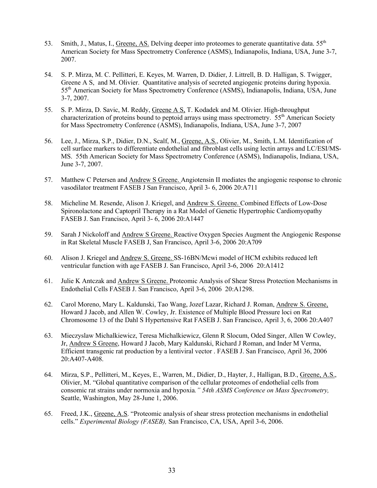- 53. Smith, J., Matus, I., Greene, AS. Delving deeper into proteomes to generate quantitative data. 55<sup>th</sup> American Society for Mass Spectrometry Conference (ASMS), Indianapolis, Indiana, USA, June 3-7, 2007.
- 54. S. P. Mirza, M. C. Pellitteri, E. Keyes, M. Warren, D. Didier, J. Littrell, B. D. Halligan, S. Twigger, Greene A S, and M. Olivier. Quantitative analysis of secreted angiogenic proteins during hypoxia. 55th American Society for Mass Spectrometry Conference (ASMS), Indianapolis, Indiana, USA, June 3-7, 2007.
- 55. S. P. Mirza, D. Savic, M. Reddy, Greene A S, T. Kodadek and M. Olivier. High-throughput characterization of proteins bound to peptoid arrays using mass spectrometry. 55<sup>th</sup> American Society for Mass Spectrometry Conference (ASMS), Indianapolis, Indiana, USA, June 3-7, 2007
- 56. Lee, J., Mirza, S.P., Didier, D.N., Scalf, M., Greene, A.S., Olivier, M., Smith, L.M. Identification of cell surface markers to differentiate endothelial and fibroblast cells using lectin arrays and LC/ESI/MS-MS. 55th American Society for Mass Spectrometry Conference (ASMS), Indianapolis, Indiana, USA, June 3-7, 2007.
- 57. Matthew C Petersen and Andrew S Greene. Angiotensin II mediates the angiogenic response to chronic vasodilator treatment FASEB J San Francisco, April 3- 6, 2006 20:A711
- 58. Micheline M. Resende, Alison J. Kriegel, and Andrew S. Greene. Combined Effects of Low-Dose Spironolactone and Captopril Therapy in a Rat Model of Genetic Hypertrophic Cardiomyopathy FASEB J. San Francisco, April 3- 6, 2006 20:A1447
- 59. Sarah J Nickoloff and Andrew S Greene. Reactive Oxygen Species Augment the Angiogenic Response in Rat Skeletal Muscle FASEB J, San Francisco, April 3-6, 2006 20:A709
- 60. Alison J. Kriegel and Andrew S. Greene. SS-16BN/Mcwi model of HCM exhibits reduced left ventricular function with age FASEB J. San Francisco, April 3-6, 2006 20:A1412
- 61. Julie K Antczak and Andrew S Greene. Proteomic Analysis of Shear Stress Protection Mechanisms in Endothelial Cells FASEB J. San Francisco, April 3-6, 2006 20:A1298.
- 62. Carol Moreno, Mary L. Kaldunski, Tao Wang, Jozef Lazar, Richard J. Roman, Andrew S. Greene, Howard J Jacob, and Allen W. Cowley, Jr. Existence of Multiple Blood Pressure loci on Rat Chromosome 13 of the Dahl S Hypertensive Rat FASEB J. San Francisco, April 3, 6, 2006 20:A407
- 63. Mieczyslaw Michalkiewicz, Teresa Michalkiewicz, Glenn R Slocum, Oded Singer, Allen W Cowley, Jr, Andrew S Greene, Howard J Jacob, Mary Kaldunski, Richard J Roman, and Inder M Verma, Efficient transgenic rat production by a lentiviral vector . FASEB J. San Francisco, April 36, 2006 20:A407-A408.
- 64. Mirza, S.P., Pellitteri, M., Keyes, E., Warren, M., Didier, D., Hayter, J., Halligan, B.D., Greene, A.S., Olivier, M. "Global quantitative comparison of the cellular proteomes of endothelial cells from consomic rat strains under normoxia and hypoxia*." 54th ASMS Conference on Mass Spectrometry,* Seattle, Washington, May 28-June 1, 2006.
- 65. Freed, J.K., Greene, A.S. "Proteomic analysis of shear stress protection mechanisms in endothelial cells." *Experimental Biology (FASEB),* San Francisco, CA, USA, April 3-6, 2006.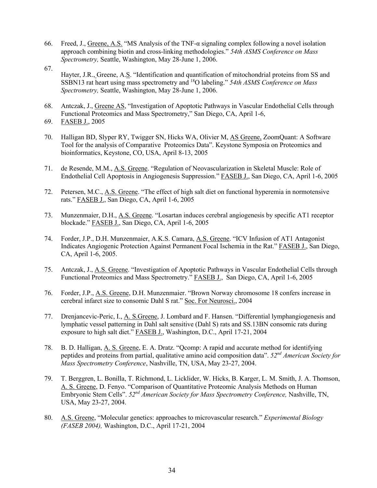- 66. Freed, J., Greene, A.S. "MS Analysis of the TNF-α signaling complex following a novel isolation approach combining biotin and cross-linking methodologies." *54th ASMS Conference on Mass Spectrometry,* Seattle, Washington, May 28-June 1, 2006.
- 67.

Hayter, J.R., Greene, A.S. "Identification and quantification of mitochondrial proteins from SS and SSBN13 rat heart using mass spectrometry and 18O labeling." *54th ASMS Conference on Mass Spectrometry,* Seattle, Washington, May 28-June 1, 2006.

- 68. Antczak, J., Greene AS, "Investigation of Apoptotic Pathways in Vascular Endothelial Cells through Functional Proteomics and Mass Spectrometry," San Diego, CA, April 1-6,
- 69. FASEB J., 2005
- 70. Halligan BD, Slyper RY, Twigger SN, Hicks WA, Olivier M, AS Greene, ZoomQuant: A Software Tool for the analysis of Comparative Proteomics Data". Keystone Symposia on Proteomics and bioinformatics, Keystone, CO, USA, April 8-13, 2005
- 71. de Resende, M.M., A.S. Greene. "Regulation of Neovascularization in Skeletal Muscle: Role of Endothelial Cell Apoptosis in Angiogenesis Suppression." FASEB J., San Diego, CA, April 1-6, 2005
- 72. Petersen, M.C., A.S. Greene. "The effect of high salt diet on functional hyperemia in normotensive rats." FASEB J., San Diego, CA, April 1-6, 2005
- 73. Munzenmaier, D.H., A.S. Greene. "Losartan induces cerebral angiogenesis by specific AT1 receptor blockade." FASEB J., San Diego, CA, April 1-6, 2005
- 74. Forder, J.P., D.H. Munzenmaier, A.K.S. Camara, A.S. Greene. "ICV Infusion of AT1 Antagonist Indicates Angiogenic Protection Against Permanent Focal Ischemia in the Rat." FASEB J., San Diego, CA, April 1-6, 2005.
- 75. Antczak, J., A.S. Greene. "Investigation of Apoptotic Pathways in Vascular Endothelial Cells through Functional Proteomics and Mass Spectrometry." FASEB J., San Diego, CA, April 1-6, 2005
- 76. Forder, J.P., A.S. Greene, D.H. Munzenmaier. "Brown Norway chromosome 18 confers increase in cerebral infarct size to consomic Dahl S rat." Soc. For Neurosci., 2004
- 77. Drenjancevic-Peric, I., A. S.Greene, J. Lombard and F. Hansen. "Differential lymphangiogenesis and lymphatic vessel patterning in Dahl salt sensitive (Dahl S) rats and SS.13BN consomic rats during exposure to high salt diet." FASEB J., Washington, D.C., April 17-21, 2004
- 78. B. D. Halligan, A. S. Greene, E. A. Dratz. "Qcomp: A rapid and accurate method for identifying peptides and proteins from partial, qualitative amino acid composition data". *52nd American Society for Mass Spectrometry Conference*, Nashville, TN, USA, May 23-27, 2004.
- 79. T. Berggren, L. Bonilla, T. Richmond, L. Licklider, W. Hicks, B. Karger, L. M. Smith, J. A. Thomson, A. S. Greene, D. Fenyo. "Comparison of Quantitative Proteomic Analysis Methods on Human Embryonic Stem Cells". *52nd American Society for Mass Spectrometry Conference,* Nashville, TN, USA, May 23-27, 2004.
- 80. A.S. Greene, "Molecular genetics: approaches to microvascular research." *Experimental Biology (FASEB 2004),* Washington, D.C., April 17-21, 2004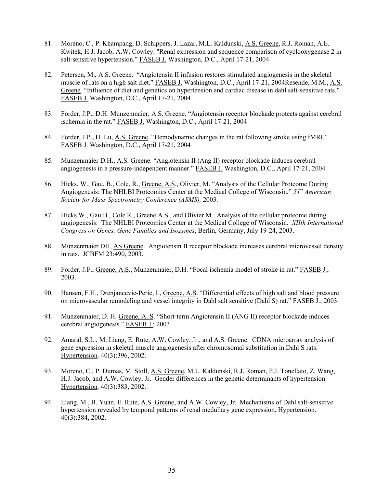- 81. Moreno, C., P. Khampang, D. Schippers, J. Lazar, M.L. Kaldunski, A.S. Greene, R.J. Roman, A.E. Kwitek, H.J. Jacob, A.W. Cowley. "Renal expression and sequence comparison of cyclooxygenase 2 in salt-sensitive hypertension." FASEB J. Washington, D.C., April 17-21, 2004
- 82. Petersen, M., A.S. Greene. "Angiotensin II infusion restores stimulated angiogenesis in the skeletal muscle of rats on a high salt diet." FASEB J. Washington, D.C., April 17-21, 2004Resende, M.M., A.S. Greene. "Influence of diet and genetics on hypertension and cardiac disease in dahl salt-sensitive rats." FASEB J. Washington, D.C., April 17-21, 2004
- 83. Forder, J.P., D.H. Munzenmaier, A.S. Greene. "Angiotensin receptor blockade protects against cerebral ischemia in the rat." FASEB J. Washington, D.C., April 17-21, 2004
- 84. Forder, J.P., H. Lu, A.S. Greene. "Hemodynamic changes in the rat following stroke using fMRI." FASEB J. Washington, D.C., April 17-21, 2004
- 85. Munzenmaier D.H., A.S. Greene. "Angiotensin II (Ang II) receptor blockade induces cerebral angiogenesis in a pressure-independent manner." FASEB J. Washington, D.C., April 17-21, 2004
- 86. Hicks, W., Gau, B., Cole, R., Greene, A.S., Olivier, M. "Analysis of the Cellular Proteome During Angiogenesis: The NHLBI Proteomics Center at the Medical College of Wisconsin." *51st American Society for Mass Spectrometry Conference (ASMS),* 2003.
- 87. Hicks W., Gau B., Cole R., Greene A.S., and Olivier M. Analysis of the cellular proteome during angiogenesis: The NHLBI Proteomics Center at the Medical College of Wisconsin. *XIIth International Congress on Genes, Gene Families and Isozymes*, Berlin, Germany, July 19-24, 2003.
- 88. Munzenmaier DH, AS Greene. Angiotensin II receptor blockade increases cerebral microvessel density in rats. JCBFM 23:490, 2003.
- 89. Forder, J.F., Greene, A.S., Munzenmaier, D.H. "Focal ischemia model of stroke in rat." FASEB J.; 2003.
- 90. Hansen, F.H., Drenjancevic-Peric, I., Greene, A.S. "Differential effects of high salt and blood pressure on microvascular remodeling and vessel integrity in Dahl salt sensitive (Dahl S) rat." FASEB J.; 2003
- 91. Munzenmaier, D. H. Greene, A. S. "Short-term Angiotensin II (ANG II) receptor blockade induces cerebral angiogenesis." FASEB J.; 2003.
- 92. Amaral, S.L., M. Liang, E. Rute, A.W. Cowley, Jr., and A.S. Greene. CDNA microarray analysis of gene expression in skeletal muscle angiogenesis after chromosomal substitution in Dahl S rats. Hypertension. 40(3):396, 2002.
- 93. Moreno, C., P. Dumas, M. Stoll, A.S. Greene, M.L. Kaldunski, R.J. Roman, P.J. Tonellato, Z. Wang, H.J. Jacob, and A.W. Cowley, Jr. Gender differences in the genetic determinants of hypertension. Hypertension. 40(3):383, 2002.
- 94. Liang, M., B. Yuan, E. Rute, A.S. Greene, and A.W. Cowley, Jr. Mechanisms of Dahl salt-sensitive hypertension revealed by temporal patterns of renal medullary gene expression. Hypertension. 40(3):384, 2002.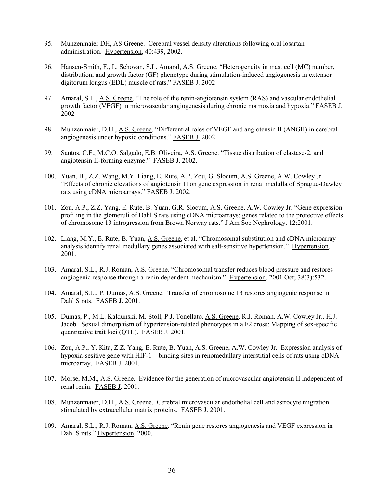- 95. Munzenmaier DH, AS Greene. Cerebral vessel density alterations following oral losartan administration. Hypertension, 40:439, 2002.
- 96. Hansen-Smith, F., L. Schovan, S.L. Amaral, A.S. Greene. "Heterogeneity in mast cell (MC) number, distribution, and growth factor (GF) phenotype during stimulation-induced angiogenesis in extensor digitorum longus (EDL) muscle of rats." FASEB J. 2002
- 97. Amaral, S.L., A.S. Greene. "The role of the renin-angiotensin system (RAS) and vascular endothelial growth factor (VEGF) in microvascular angiogenesis during chronic normoxia and hypoxia." FASEB J. 2002
- 98. Munzenmaier, D.H., A.S. Greene. "Differential roles of VEGF and angiotensin II (ANGII) in cerebral angiogenesis under hypoxic conditions." FASEB J. 2002
- 99. Santos, C.F., M.C.O. Salgado, E.B. Oliveira, A.S. Greene. "Tissue distribution of elastase-2, and angiotensin II-forming enzyme." FASEB J. 2002.
- 100. Yuan, B., Z.Z. Wang, M.Y. Liang, E. Rute, A.P. Zou, G. Slocum, A.S. Greene, A.W. Cowley Jr. "Effects of chronic elevations of angiotensin II on gene expression in renal medulla of Sprague-Dawley rats using cDNA microarrays." FASEB J. 2002.
- 101. Zou, A.P., Z.Z. Yang, E. Rute, B. Yuan, G.R. Slocum, A.S. Greene, A.W. Cowley Jr. "Gene expression profiling in the glomeruli of Dahl S rats using cDNA microarrays: genes related to the protective effects of chromosome 13 introgression from Brown Norway rats." J Am Soc Nephrology. 12:2001.
- 102. Liang, M.Y., E. Rute, B. Yuan, A.S. Greene, et al. "Chromosomal substitution and cDNA microarray analysis identify renal medullary genes associated with salt-sensitive hypertension." Hypertension. 2001.
- 103. Amaral, S.L., R.J. Roman, A.S. Greene. "Chromosomal transfer reduces blood pressure and restores angiogenic response through a renin dependent mechanism." Hypertension. 2001 Oct; 38(3):532.
- 104. Amaral, S.L., P. Dumas, A.S. Greene. Transfer of chromosome 13 restores angiogenic response in Dahl S rats. FASEB J. 2001.
- 105. Dumas, P., M.L. Kaldunski, M. Stoll, P.J. Tonellato, A.S. Greene, R.J. Roman, A.W. Cowley Jr., H.J. Jacob. Sexual dimorphism of hypertension-related phenotypes in a F2 cross: Mapping of sex-specific quantitative trait loci (QTL). FASEB J. 2001.
- 106. Zou, A.P., Y. Kita, Z.Z. Yang, E. Rute, B. Yuan, A.S. Greene, A.W. Cowley Jr. Expression analysis of hypoxia-sesitive gene with HIF-1 binding sites in renomedullary interstitial cells of rats using cDNA microarray. FASEB J. 2001.
- 107. Morse, M.M., A.S. Greene. Evidence for the generation of microvascular angiotensin II independent of renal renin. FASEB J. 2001.
- 108. Munzenmaier, D.H., A.S. Greene. Cerebral microvascular endothelial cell and astrocyte migration stimulated by extracellular matrix proteins. FASEB J. 2001.
- 109. Amaral, S.L., R.J. Roman, A.S. Greene. "Renin gene restores angiogenesis and VEGF expression in Dahl S rats." Hypertension. 2000.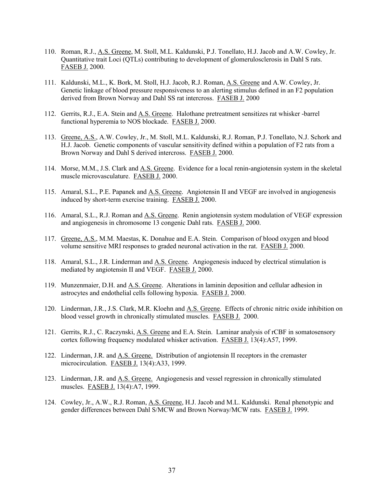- 110. Roman, R.J., A.S. Greene, M. Stoll, M.L. Kaldunski, P.J. Tonellato, H.J. Jacob and A.W. Cowley, Jr. Quantitative trait Loci (QTLs) contributing to development of glomerulosclerosis in Dahl S rats. FASEB J. 2000.
- 111. Kaldunski, M.L., K. Bork, M. Stoll, H.J. Jacob, R.J. Roman, A.S. Greene and A.W. Cowley, Jr. Genetic linkage of blood pressure responsiveness to an alerting stimulus defined in an F2 population derived from Brown Norway and Dahl SS rat intercross. FASEB J. 2000
- 112. Gerrits, R.J., E.A. Stein and A.S. Greene. Halothane pretreatment sensitizes rat whisker -barrel functional hyperemia to NOS blockade. FASEB J. 2000.
- 113. Greene, A.S., A.W. Cowley, Jr., M. Stoll, M.L. Kaldunski, R.J. Roman, P.J. Tonellato, N.J. Schork and H.J. Jacob. Genetic components of vascular sensitivity defined within a population of F2 rats from a Brown Norway and Dahl S derived intercross. FASEB J. 2000.
- 114. Morse, M.M., J.S. Clark and A.S. Greene. Evidence for a local renin-angiotensin system in the skeletal muscle microvasculature. FASEB J. 2000.
- 115. Amaral, S.L., P.E. Papanek and A.S. Greene. Angiotensin II and VEGF are involved in angiogenesis induced by short-term exercise training. FASEB J. 2000.
- 116. Amaral, S.L., R.J. Roman and A.S. Greene. Renin angiotensin system modulation of VEGF expression and angiogenesis in chromosome 13 congenic Dahl rats. FASEB J. 2000.
- 117. Greene, A.S., M.M. Maestas, K. Donahue and E.A. Stein. Comparison of blood oxygen and blood volume sensitive MRI responses to graded neuronal activation in the rat. FASEB J. 2000.
- 118. Amaral, S.L., J.R. Linderman and A.S. Greene. Angiogenesis induced by electrical stimulation is mediated by angiotensin II and VEGF. FASEB J. 2000.
- 119. Munzenmaier, D.H. and A.S. Greene. Alterations in laminin deposition and cellular adhesion in astrocytes and endothelial cells following hypoxia. FASEB J. 2000.
- 120. Linderman, J.R., J.S. Clark, M.R. Kloehn and A.S. Greene. Effects of chronic nitric oxide inhibition on blood vessel growth in chronically stimulated muscles. FASEB J. 2000.
- 121. Gerrits, R.J., C. Raczynski, A.S. Greene and E.A. Stein. Laminar analysis of rCBF in somatosensory cortex following frequency modulated whisker activation. FASEB J. 13(4):A57, 1999.
- 122. Linderman, J.R. and A.S. Greene. Distribution of angiotensin II receptors in the cremaster microcirculation. FASEB J. 13(4):A33, 1999.
- 123. Linderman, J.R. and A.S. Greene. Angiogenesis and vessel regression in chronically stimulated muscles. FASEB J. 13(4):A7, 1999.
- 124. Cowley, Jr., A.W., R.J. Roman, A.S. Greene, H.J. Jacob and M.L. Kaldunski. Renal phenotypic and gender differences between Dahl S/MCW and Brown Norway/MCW rats. FASEB J. 1999.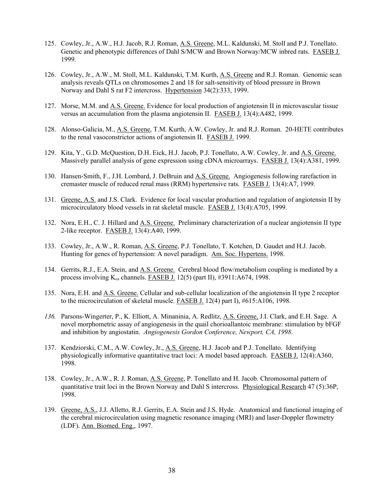- 125. Cowley, Jr., A.W., H.J. Jacob, R.J. Roman, A.S. Greene, M.L. Kaldunski, M. Stoll and P.J. Tonellato. Genetic and phenotypic differences of Dahl S/MCW and Brown Norway/MCW inbred rats. FASEB J. 1999.
- 126. Cowley, Jr., A.W., M. Stoll, M.L. Kaldunski, T.M. Kurth, A.S. Greene and R.J. Roman. Genomic scan analysis reveals QTLs on chromosomes 2 and 18 for salt-sensitivity of blood pressure in Brown Norway and Dahl S rat F2 intercross. Hypertension 34(2):333, 1999.
- 127. Morse, M.M. and A.S. Greene. Evidence for local production of angiotensin II in microvascular tissue versus an accumulation from the plasma angiotensin II. FASEB J. 13(4):A482, 1999.
- 128. Alonso-Galicia, M., A.S. Greene, T.M. Kurth, A.W. Cowley, Jr. and R.J. Roman. 20-HETE contributes to the renal vasoconstrictor actions of angiotensin II. FASEB J. 1999.
- 129. Kita, Y., G.D. McQuestion, D.H. Eick, H.J. Jacob, P.J. Tonellato, A.W. Cowley, Jr. and A.S. Greene. Massively parallel analysis of gene expression using cDNA microarrays. FASEB J. 13(4):A381, 1999.
- 130. Hansen-Smith, F., J.H. Lombard, J. DeBruin and A.S. Greene. Angiogenesis following rarefaction in cremaster muscle of reduced renal mass (RRM) hypertensive rats. FASEB J. 13(4):A7, 1999.
- 131. Greene, A.S. and J.S. Clark. Evidence for local vascular production and regulation of angiotensin II by microcirculatory blood vessels in rat skeletal muscle. FASEB J. 13(4):A705, 1999.
- 132. Nora, E.H., C. J. Hillard and A.S. Greene. Preliminary characterization of a nuclear angiotensin II type 2-like receptor. FASEB J. 13(4):A40, 1999.
- 133. Cowley, Jr., A.W., R. Roman, A.S. Greene, P.J. Tonellato, T. Kotchen, D. Gaudet and H.J. Jacob. Hunting for genes of hypertension: A novel paradigm. Am. Soc. Hypertens. 1998.
- 134. Gerrits, R.J., E.A. Stein, and A.S. Greene. Cerebral blood flow/metabolism coupling is mediated by a process involving  $K_{ca}$  channels. FASEB J. 12(5) (part II), #3911:A674, 1998.
- 135. Nora, E.H. and A.S. Greene. Cellular and sub-cellular localization of the angiotensin II type 2 receptor to the microcirculation of skeletal muscle. FASEB J. 12(4) part I), #615:A106, 1998.
- *136.* Parsons-Wingerter, P., K. Elliott, A. Minaninia, A. Redlitz, A.S. Greene, J.I. Clark, and E.H. Sage. A novel morphometric assay of angiogenesis in the quail chorioallantoic membrane: stimulation by bFGF and inhibition by angiostatin. *Angiogenesis Gordon Conference, Newport, CA, 1998.*
- 137. Kendziorski, C.M., A.W. Cowley, Jr., A.S. Greene, H.J. Jacob and P.J. Tonellato. Identifying physiologically informative quantitative tract loci: A model based approach. **FASEB J.** 12(4):A360, 1998.
- 138. Cowley, Jr., A.W., R. J. Roman, A.S. Greene, P. Tonellato and H. Jacob. Chromosomal pattern of quantitative trait loci in the Brown Norway and Dahl S intercross. Physiological Research 47 (5):36P, 1998.
- 139. Greene, A.S., J.J. Alletto, R.J. Gerrits, E.A. Stein and J.S. Hyde. Anatomical and functional imaging of the cerebral microcirculation using magnetic resonance imaging (MRI) and laser-Doppler flowmetry (LDF). Ann. Biomed. Eng., 1997.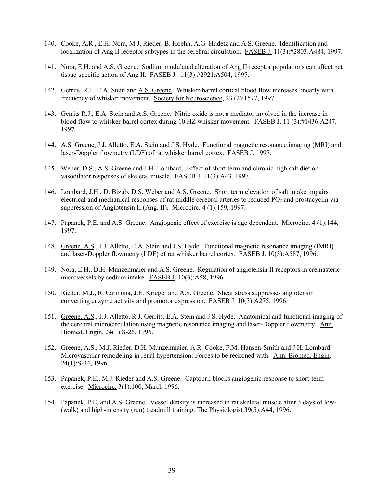- 140. Cooke, A.R., E.H. Nora, M.J. Rieder, B. Hoehn, A.G. Hudetz and A.S. Greene. Identification and localization of Ang II receptor subtypes in the cerebral circulation. FASEB J. 11(3):#2803:A484, 1997.
- 141. Nora, E.H. and <u>A.S. Greene</u>. Sodium modulated alteration of Ang II receptor populations can affect net tissue-specific action of Ang II. FASEB J. 11(3):#2921:A504, 1997.
- 142. Gerrits, R.J., E.A. Stein and A.S. Greene. Whisker-barrel cortical blood flow increases linearly with frequency of whisker movement. Society for Neuroscience, 23 (2):1577, 1997.
- 143. Gerrits R.J., E.A. Stein and A.S. Greene. Nitric oxide is not a mediator involved in the increase in blood flow to whisker-barrel cortex during 10 HZ whisker movement. FASEB J. 11 (3):#1436:A247, 1997.
- 144. A.S. Greene, J.J. Alletto, E.A. Stein and J.S. Hyde. Functional magnetic resonance imaging (MRI) and laser-Doppler flowmetry (LDF) of rat whisker barrel cortex. FASEB J. 1997.
- 145. Weber, D.S., A.S. Greene and J.H. Lombard. Effect of short term and chronic high salt diet on vasodilator responses of skeletal muscle. FASEB J. 11(3):A43, 1997.
- 146. Lombard, J.H., D. Bizub, D.S. Weber and A.S. Greene. Short term elevation of salt intake impairs electrical and mechanical responses of rat middle cerebral arteries to reduced PO<sub>2</sub> and prostacyclin via suppression of Angiotensin II (Ang. II). Microcirc. 4 (1):159, 1997.
- 147. Papanek, P.E. and <u>A.S. Greene</u>. Angiogenic effect of exercise is age dependent. Microcirc. 4 (1):144, 1997.
- 148. Greene, A.S., J.J. Alletto, E.A. Stein and J.S. Hyde. Functional magnetic resonance imaging (fMRI) and laser-Doppler flowmetry (LDF) of rat whisker barrel cortex. FASEB J. 10(3):A587, 1996.
- 149. Nora, E.H., D.H. Munzenmaier and A.S. Greene. Regulation of angiotensin II receptors in cremasteric microvessels by sodium intake. FASEB J. 10(3):A58, 1996.
- 150. Rieder, M.J., R. Carmona, J.E. Krieger and A.S. Greene. Shear stress suppresses angiotensin converting enzyme activity and promotor expression. FASEB J. 10(3):A275, 1996.
- 151. Greene, A.S., J.J. Alletto, R.J. Gerrits, E.A. Stein and J.S. Hyde. Anatomical and functional imaging of the cerebral microcirculation using magnetic resonance imaging and laser-Doppler flowmetry. Ann. Biomed. Engin. 24(1):S-26, 1996.
- 152. Greene, A.S., M.J. Rieder, D.H. Munzenmaier, A.R. Cooke, F.M. Hansen-Smith and J.H. Lombard. Microvascular remodeling in renal hypertension: Forces to be reckoned with. Ann. Biomed. Engin. 24(1):S-34, 1996.
- 153. Papanek, P.E., M.J. Rieder and A.S. Greene. Captopril blocks angiogenic response to short-term exercise. Microcirc. 3(1):100, March 1996.
- 154. Papanek, P.E. and A.S. Greene. Vessel density is increased in rat skeletal muscle after 3 days of low- (walk) and high-intensity (run) treadmill training. The Physiologist 39(5):A44, 1996.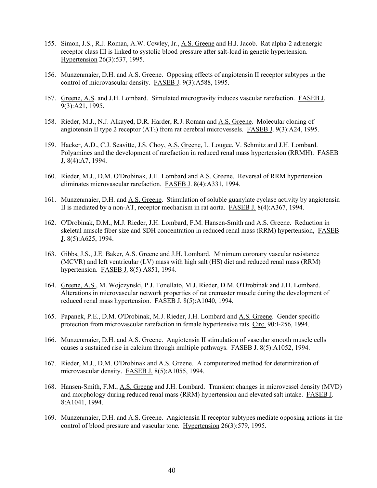- 155. Simon, J.S., R.J. Roman, A.W. Cowley, Jr., A.S. Greene and H.J. Jacob. Rat alpha-2 adrenergic receptor class III is linked to systolic blood pressure after salt-load in genetic hypertension. Hypertension 26(3):537, 1995.
- 156. Munzenmaier, D.H. and A.S. Greene. Opposing effects of angiotensin II receptor subtypes in the control of microvascular density. FASEB J. 9(3):A588, 1995.
- 157. Greene, A.S. and J.H. Lombard. Simulated microgravity induces vascular rarefaction. FASEB J. 9(3):A21, 1995.
- 158. Rieder, M.J., N.J. Alkayed, D.R. Harder, R.J. Roman and A.S. Greene. Molecular cloning of angiotensin II type 2 receptor  $(AT_2)$  from rat cerebral microvessels. FASEB J. 9(3):A24, 1995.
- 159. Hacker, A.D., C.J. Seavitte, J.S. Choy, A.S. Greene, L. Lougee, V. Schmitz and J.H. Lombard. Polyamines and the development of rarefaction in reduced renal mass hypertension (RRMH). FASEB J. 8(4):A7, 1994.
- 160. Rieder, M.J., D.M. O'Drobinak, J.H. Lombard and A.S. Greene. Reversal of RRM hypertension eliminates microvascular rarefaction. FASEB J. 8(4):A331, 1994.
- 161. Munzenmaier, D.H. and A.S. Greene. Stimulation of soluble guanylate cyclase activity by angiotensin II is mediated by a non-AT, receptor mechanism in rat aorta. FASEB J. 8(4):A367, 1994.
- 162. O'Drobinak, D.M., M.J. Rieder, J.H. Lombard, F.M. Hansen-Smith and A.S. Greene. Reduction in skeletal muscle fiber size and SDH concentration in reduced renal mass (RRM) hypertension, FASEB J. 8(5):A625, 1994.
- 163. Gibbs, J.S., J.E. Baker, A.S. Greene and J.H. Lombard. Minimum coronary vascular resistance (MCVR) and left ventricular (LV) mass with high salt (HS) diet and reduced renal mass (RRM) hypertension. FASEB J. 8(5):A851, 1994.
- 164. Greene, A.S., M. Wojczynski, P.J. Tonellato, M.J. Rieder, D.M. O'Drobinak and J.H. Lombard. Alterations in microvascular network properties of rat cremaster muscle during the development of reduced renal mass hypertension. FASEB J. 8(5):A1040, 1994.
- 165. Papanek, P.E., D.M. O'Drobinak, M.J. Rieder, J.H. Lombard and A.S. Greene. Gender specific protection from microvascular rarefaction in female hypertensive rats. Circ. 90:I-256, 1994.
- 166. Munzenmaier, D.H. and A.S. Greene. Angiotensin II stimulation of vascular smooth muscle cells causes a sustained rise in calcium through multiple pathways. FASEB J. 8(5):A1052, 1994.
- 167. Rieder, M.J., D.M. O'Drobinak and A.S. Greene. A computerized method for determination of microvascular density. FASEB J. 8(5):A1055, 1994.
- 168. Hansen-Smith, F.M., A.S. Greene and J.H. Lombard. Transient changes in microvessel density (MVD) and morphology during reduced renal mass (RRM) hypertension and elevated salt intake. FASEB J. 8:A1041, 1994.
- 169. Munzenmaier, D.H. and A.S. Greene. Angiotensin II receptor subtypes mediate opposing actions in the control of blood pressure and vascular tone. Hypertension 26(3):579, 1995.